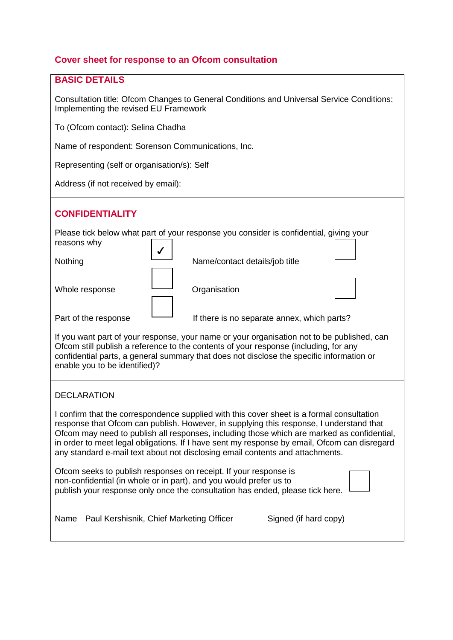# **Cover sheet for response to an Ofcom consultation**

# **BASIC DETAILS**

Consultation title: Ofcom Changes to General Conditions and Universal Service Conditions: Implementing the revised EU Framework

To (Ofcom contact): Selina Chadha

Name of respondent: Sorenson Communications, Inc.

Representing (self or organisation/s): Self

Address (if not received by email):

# **CONFIDENTIALITY**

| reasons why          | Please tick below what part of your response you consider is confidential, giving your     |  |
|----------------------|--------------------------------------------------------------------------------------------|--|
| Nothing              | Name/contact details/job title                                                             |  |
| Whole response       | Organisation                                                                               |  |
| Part of the response | If there is no separate annex, which parts?                                                |  |
|                      | If you want part of your response, your pame or your organisation not to be published, can |  |

If you want part of your response, your name or your organisation not to be pul Ofcom still publish a reference to the contents of your response (including, for any confidential parts, a general summary that does not disclose the specific information or enable you to be identified)?

# DECLARATION

I confirm that the correspondence supplied with this cover sheet is a formal consultation response that Ofcom can publish. However, in supplying this response, I understand that Ofcom may need to publish all responses, including those which are marked as confidential, in order to meet legal obligations. If I have sent my response by email, Ofcom can disregard any standard e-mail text about not disclosing email contents and attachments.

| Ofcom seeks to publish responses on receipt. If your response is<br>non-confidential (in whole or in part), and you would prefer us to<br>publish your response only once the consultation has ended, please tick here. |  |
|-------------------------------------------------------------------------------------------------------------------------------------------------------------------------------------------------------------------------|--|
|                                                                                                                                                                                                                         |  |

Name Paul Kershisnik, Chief Marketing Officer Signed (if hard copy)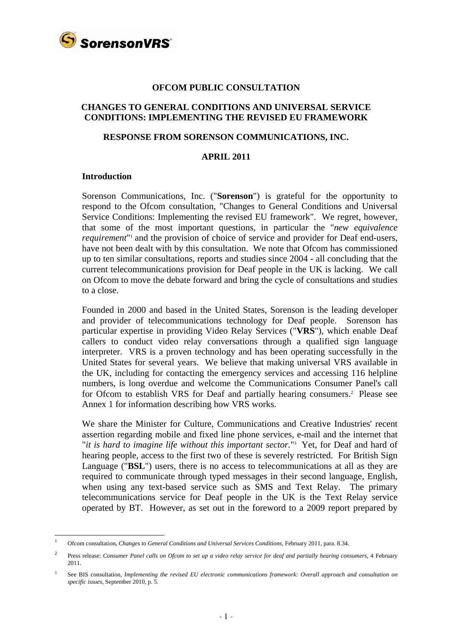

#### **OFCOM PUBLIC CONSULTATION**

# **CHANGES TO GENERAL CONDITIONS AND UNIVERSAL SERVICE CONDITIONS: IMPLEMENTING THE REVISED EU FRAMEWORK**

#### **RESPONSE FROM SORENSON COMMUNICATIONS, INC.**

#### **APRIL 2011**

#### **Introduction**

 $\overline{a}$ 

Sorenson Communications, Inc. ("**Sorenson**") is grateful for the opportunity to respond to the Ofcom consultation, "Changes to General Conditions and Universal Service Conditions: Implementing the revised EU framework". We regret, however, that some of the most important questions, in particular the "*new equivalence requirement*<sup>"1</sup> and the provision of choice of service and provider for Deaf end-users, have not been dealt with by this consultation. We note that Ofcom has commissioned up to ten similar consultations, reports and studies since 2004 - all concluding that the current telecommunications provision for Deaf people in the UK is lacking. We call on Ofcom to move the debate forward and bring the cycle of consultations and studies to a close.

Founded in 2000 and based in the United States, Sorenson is the leading developer and provider of telecommunications technology for Deaf people. Sorenson has particular expertise in providing Video Relay Services ("**VRS**"), which enable Deaf callers to conduct video relay conversations through a qualified sign language interpreter. VRS is a proven technology and has been operating successfully in the United States for several years. We believe that making universal VRS available in the UK, including for contacting the emergency services and accessing 116 helpline numbers, is long overdue and welcome the Communications Consumer Panel's call for Ofcom to establish VRS for Deaf and partially hearing consumers.<sup>2</sup> Please see Annex 1 for information describing how VRS works.

We share the Minister for Culture, Communications and Creative Industries' recent assertion regarding mobile and fixed line phone services, e-mail and the internet that "*it is hard to imagine life without this important sector.*"3 Yet, for Deaf and hard of hearing people, access to the first two of these is severely restricted. For British Sign Language ("**BSL**") users, there is no access to telecommunications at all as they are required to communicate through typed messages in their second language, English, when using any text-based service such as SMS and Text Relay. The primary telecommunications service for Deaf people in the UK is the Text Relay service operated by BT. However, as set out in the foreword to a 2009 report prepared by

<sup>1</sup> Ofcom consultation, *Changes to General Conditions and Universal Services Conditions*, February 2011, para. 8.34.

<sup>2</sup> Press release: *Consumer Panel calls on Ofcom to set up a video relay service for deaf and partially hearing consumers*, 4 February 2011.

<sup>3</sup> See BIS consultation, *Implementing the revised EU electronic communications framework: Overall approach and consultation on specific issues*, September 2010, p. 5.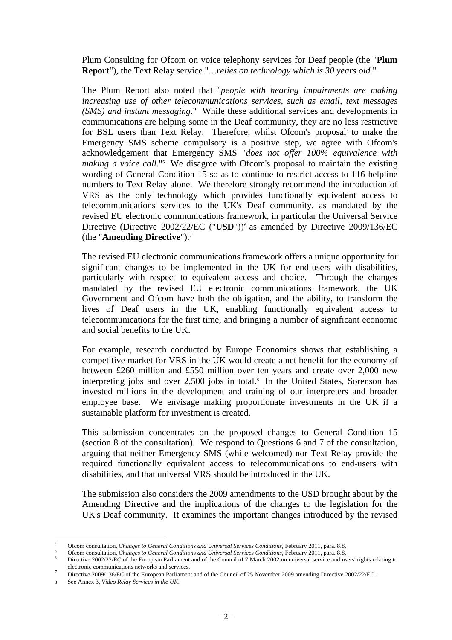Plum Consulting for Ofcom on voice telephony services for Deaf people (the "**Plum Report**"), the Text Relay service "*…relies on technology which is 30 years old.*"

The Plum Report also noted that "*people with hearing impairments are making increasing use of other telecommunications services, such as email, text messages (SMS) and instant messaging*." While these additional services and developments in communications are helping some in the Deaf community, they are no less restrictive for BSL users than Text Relay. Therefore, whilst Ofcom's proposal<sup>4</sup> to make the Emergency SMS scheme compulsory is a positive step, we agree with Ofcom's acknowledgement that Emergency SMS "*does not offer 100% equivalence with*  making a voice call."<sup>5</sup> We disagree with Ofcom's proposal to maintain the existing wording of General Condition 15 so as to continue to restrict access to 116 helpline numbers to Text Relay alone. We therefore strongly recommend the introduction of VRS as the only technology which provides functionally equivalent access to telecommunications services to the UK's Deaf community, as mandated by the revised EU electronic communications framework, in particular the Universal Service Directive (Directive 2002/22/EC ("USD"))<sup>6</sup> as amended by Directive 2009/136/EC (the "**Amending Directive**").7

The revised EU electronic communications framework offers a unique opportunity for significant changes to be implemented in the UK for end-users with disabilities, particularly with respect to equivalent access and choice. Through the changes mandated by the revised EU electronic communications framework, the UK Government and Ofcom have both the obligation, and the ability, to transform the lives of Deaf users in the UK, enabling functionally equivalent access to telecommunications for the first time, and bringing a number of significant economic and social benefits to the UK.

For example, research conducted by Europe Economics shows that establishing a competitive market for VRS in the UK would create a net benefit for the economy of between £260 million and £550 million over ten years and create over 2,000 new interpreting jobs and over 2,500 jobs in total.<sup>8</sup> In the United States, Sorenson has invested millions in the development and training of our interpreters and broader employee base. We envisage making proportionate investments in the UK if a sustainable platform for investment is created.

This submission concentrates on the proposed changes to General Condition 15 (section 8 of the consultation). We respond to Questions 6 and 7 of the consultation, arguing that neither Emergency SMS (while welcomed) nor Text Relay provide the required functionally equivalent access to telecommunications to end-users with disabilities, and that universal VRS should be introduced in the UK.

The submission also considers the 2009 amendments to the USD brought about by the Amending Directive and the implications of the changes to the legislation for the UK's Deaf community. It examines the important changes introduced by the revised

<sup>4</sup> Ofcom consultation, *Changes to General Conditions and Universal Services Conditions*, February 2011, para. 8.8. 5

<sup>&</sup>lt;sup>5</sup> Ofcom consultation, *Changes to General Conditions and Universal Services Conditions*, February 2011, para. 8.8.

Directive 2002/22/EC of the European Parliament and of the Council of 7 March 2002 on universal service and users' rights relating to electronic communications networks and services.

Directive 2009/136/EC of the European Parliament and of the Council of 25 November 2009 amending Directive 2002/22/EC.

<sup>8</sup> See Annex 3, *Video Relay Services in the UK*.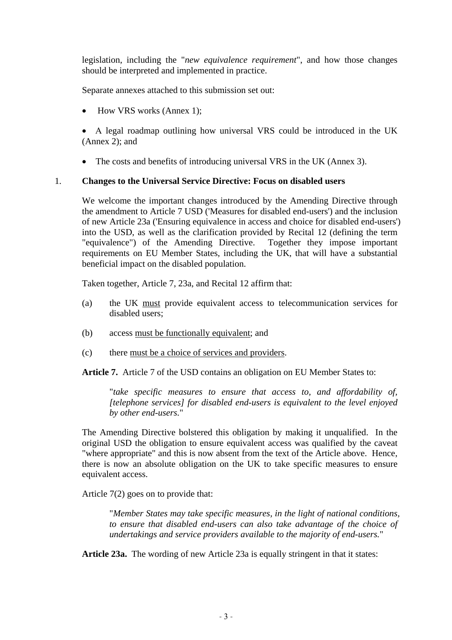legislation, including the "*new equivalence requirement*", and how those changes should be interpreted and implemented in practice.

Separate annexes attached to this submission set out:

• How VRS works (Annex 1);

• A legal roadmap outlining how universal VRS could be introduced in the UK (Annex 2); and

• The costs and benefits of introducing universal VRS in the UK (Annex 3).

# 1. **Changes to the Universal Service Directive: Focus on disabled users**

We welcome the important changes introduced by the Amending Directive through the amendment to Article 7 USD ('Measures for disabled end-users') and the inclusion of new Article 23a ('Ensuring equivalence in access and choice for disabled end-users') into the USD, as well as the clarification provided by Recital 12 (defining the term "equivalence") of the Amending Directive. Together they impose important requirements on EU Member States, including the UK, that will have a substantial beneficial impact on the disabled population.

Taken together, Article 7, 23a, and Recital 12 affirm that:

- (a) the UK must provide equivalent access to telecommunication services for disabled users;
- (b) access must be functionally equivalent; and
- (c) there must be a choice of services and providers.

**Article 7.** Article 7 of the USD contains an obligation on EU Member States to:

"*take specific measures to ensure that access to, and affordability of, [telephone services] for disabled end-users is equivalent to the level enjoyed by other end-users.*"

The Amending Directive bolstered this obligation by making it unqualified. In the original USD the obligation to ensure equivalent access was qualified by the caveat "where appropriate" and this is now absent from the text of the Article above. Hence, there is now an absolute obligation on the UK to take specific measures to ensure equivalent access.

Article 7(2) goes on to provide that:

"*Member States may take specific measures, in the light of national conditions, to ensure that disabled end-users can also take advantage of the choice of undertakings and service providers available to the majority of end-users.*"

**Article 23a.** The wording of new Article 23a is equally stringent in that it states: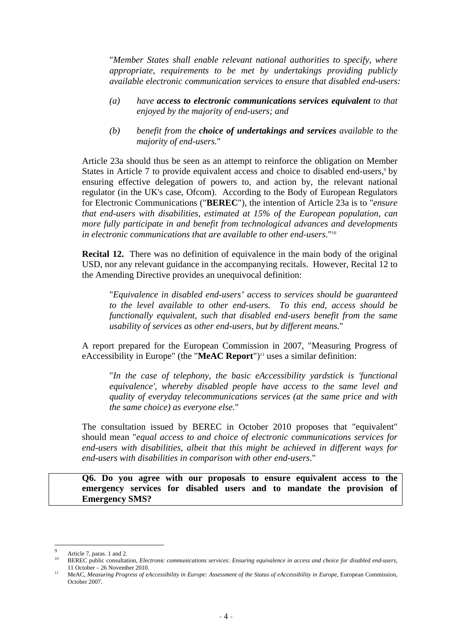"*Member States shall enable relevant national authorities to specify, where appropriate, requirements to be met by undertakings providing publicly available electronic communication services to ensure that disabled end-users:* 

- *(a) have access to electronic communications services equivalent to that enjoyed by the majority of end-users; and*
- *(b) benefit from the choice of undertakings and services available to the majority of end-users.*"

Article 23a should thus be seen as an attempt to reinforce the obligation on Member States in Article 7 to provide equivalent access and choice to disabled end-users,<sup>9</sup> by ensuring effective delegation of powers to, and action by, the relevant national regulator (in the UK's case, Ofcom). According to the Body of European Regulators for Electronic Communications ("**BEREC**"), the intention of Article 23a is to "*ensure that end-users with disabilities, estimated at 15% of the European population, can more fully participate in and benefit from technological advances and developments in electronic communications that are available to other end-users*."10

**Recital 12.** There was no definition of equivalence in the main body of the original USD, nor any relevant guidance in the accompanying recitals. However, Recital 12 to the Amending Directive provides an unequivocal definition:

"*Equivalence in disabled end-users' access to services should be guaranteed to the level available to other end-users. To this end, access should be functionally equivalent, such that disabled end-users benefit from the same usability of services as other end-users, but by different means.*"

A report prepared for the European Commission in 2007, "Measuring Progress of eAccessibility in Europe" (the "**MeAC Report**")<sup>11</sup> uses a similar definition:

"*In the case of telephony, the basic eAccessibility yardstick is 'functional equivalence', whereby disabled people have access to the same level and quality of everyday telecommunications services (at the same price and with the same choice) as everyone else.*"

The consultation issued by BEREC in October 2010 proposes that "equivalent" should mean "*equal access to and choice of electronic communications services for end-users with disabilities, albeit that this might be achieved in different ways for end-users with disabilities in comparison with other end-users*."

**Q6. Do you agree with our proposals to ensure equivalent access to the emergency services for disabled users and to mandate the provision of Emergency SMS?** 

<sup>9</sup>

Article 7, paras. 1 and 2.<br>BEREC public consultation, *Electronic communications services: Ensuring equivalence in access and choice for disabled end-users*, 11 October – 26 November 2010.<br>MeAC, *Measuring Progress of eAccessibility in Europe: Assessment of the Status of eAccessibility in Europe*, European Commission,

October 2007.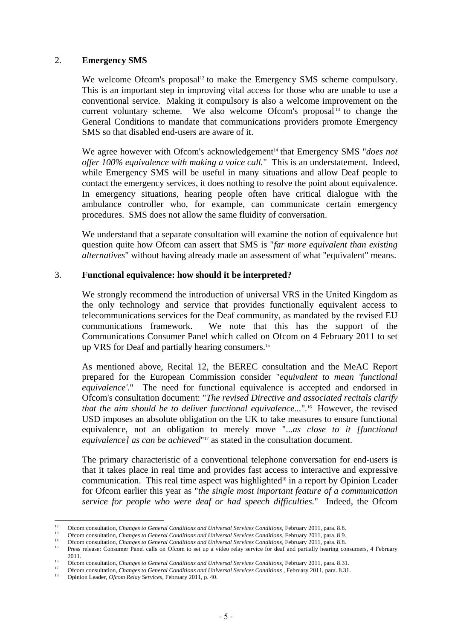# 2. **Emergency SMS**

We welcome Ofcom's proposal<sup>12</sup> to make the Emergency SMS scheme compulsory. This is an important step in improving vital access for those who are unable to use a conventional service. Making it compulsory is also a welcome improvement on the current voluntary scheme. We also welcome Ofcom's proposal<sup>13</sup> to change the General Conditions to mandate that communications providers promote Emergency SMS so that disabled end-users are aware of it.

We agree however with Ofcom's acknowledgement<sup>14</sup> that Emergency SMS "*does not offer 100% equivalence with making a voice call.*" This is an understatement. Indeed, while Emergency SMS will be useful in many situations and allow Deaf people to contact the emergency services, it does nothing to resolve the point about equivalence. In emergency situations, hearing people often have critical dialogue with the ambulance controller who, for example, can communicate certain emergency procedures. SMS does not allow the same fluidity of conversation.

We understand that a separate consultation will examine the notion of equivalence but question quite how Ofcom can assert that SMS is "*far more equivalent than existing alternatives*" without having already made an assessment of what "equivalent" means.

#### 3. **Functional equivalence: how should it be interpreted?**

We strongly recommend the introduction of universal VRS in the United Kingdom as the only technology and service that provides functionally equivalent access to telecommunications services for the Deaf community, as mandated by the revised EU communications framework. We note that this has the support of the Communications Consumer Panel which called on Ofcom on 4 February 2011 to set up VRS for Deaf and partially hearing consumers.<sup>15</sup>

As mentioned above, Recital 12, the BEREC consultation and the MeAC Report prepared for the European Commission consider "*equivalent to mean 'functional equivalence'.*" The need for functional equivalence is accepted and endorsed in Ofcom's consultation document: "*The revised Directive and associated recitals clarify that the aim should be to deliver functional equivalence...*"*.* 16 However, the revised USD imposes an absolute obligation on the UK to take measures to ensure functional equivalence, not an obligation to merely move "...*as close to it [functional equivalence] as can be achieved*"<sup>17</sup> as stated in the consultation document.

The primary characteristic of a conventional telephone conversation for end-users is that it takes place in real time and provides fast access to interactive and expressive communication. This real time aspect was highlighted<sup>18</sup> in a report by Opinion Leader for Ofcom earlier this year as "*the single most important feature of a communication service for people who were deaf or had speech difficulties.*" Indeed, the Ofcom

 $12$ 

<sup>&</sup>lt;sup>12</sup> Ofcom consultation, *Changes to General Conditions and Universal Services Conditions*, February 2011, para. 8.8.<br><sup>13</sup> Ofcom consultation, *Changes to General Conditions and Universal Services Conditions*, February 201

<sup>2011.&</sup>lt;br>
<sup>16</sup> Ofcom consultation, *Changes to General Conditions and Universal Services Conditions*, February 2011, para. 8.31.<br>
<sup>17</sup> Ofcom consultation, *Changes to General Conditions and Universal Services Conditions*, Feb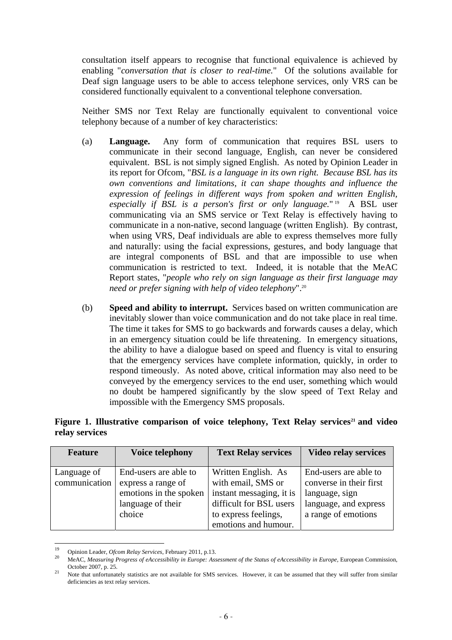consultation itself appears to recognise that functional equivalence is achieved by enabling "*conversation that is closer to real-time.*" Of the solutions available for Deaf sign language users to be able to access telephone services, only VRS can be considered functionally equivalent to a conventional telephone conversation.

Neither SMS nor Text Relay are functionally equivalent to conventional voice telephony because of a number of key characteristics:

- (a) **Language.** Any form of communication that requires BSL users to communicate in their second language, English, can never be considered equivalent. BSL is not simply signed English. As noted by Opinion Leader in its report for Ofcom, "*BSL is a language in its own right. Because BSL has its own conventions and limitations, it can shape thoughts and influence the expression of feelings in different ways from spoken and written English, especially if BSL is a person's first or only language.*" 19 A BSL user communicating via an SMS service or Text Relay is effectively having to communicate in a non-native, second language (written English). By contrast, when using VRS, Deaf individuals are able to express themselves more fully and naturally: using the facial expressions, gestures, and body language that are integral components of BSL and that are impossible to use when communication is restricted to text. Indeed, it is notable that the MeAC Report states, "*people who rely on sign language as their first language may need or prefer signing with help of video telephony*".20
- (b) **Speed and ability to interrupt.** Services based on written communication are inevitably slower than voice communication and do not take place in real time. The time it takes for SMS to go backwards and forwards causes a delay, which in an emergency situation could be life threatening. In emergency situations, the ability to have a dialogue based on speed and fluency is vital to ensuring that the emergency services have complete information, quickly, in order to respond timeously. As noted above, critical information may also need to be conveyed by the emergency services to the end user, something which would no doubt be hampered significantly by the slow speed of Text Relay and impossible with the Emergency SMS proposals.

# Figure 1. Illustrative comparison of voice telephony, Text Relay services<sup>21</sup> and video **relay services**

| <b>Feature</b> | Voice telephony        | <b>Text Relay services</b> | <b>Video relay services</b> |
|----------------|------------------------|----------------------------|-----------------------------|
| Language of    | End-users are able to  | Written English. As        | End-users are able to       |
| communication  | express a range of     | with email, SMS or         | converse in their first     |
|                | emotions in the spoken | instant messaging, it is   | language, sign              |
|                | language of their      | difficult for BSL users    | language, and express       |
|                | choice                 | to express feelings,       | a range of emotions         |
|                |                        | emotions and humour.       |                             |

 $10$ 

<sup>19</sup> Opinion Leader, *Ofcom Relay Services*, February 2011, p.13. 20 MeAC, *Measuring Progress of eAccessibility in Europe: Assessment of the Status of eAccessibility in Europe,* European Commission,

October 2007, p. 25. 21 Note that unfortunately statistics are not available for SMS services. However, it can be assumed that they will suffer from similar Note that unfortunately statistics are not available for SMS serv deficiencies as text relay services.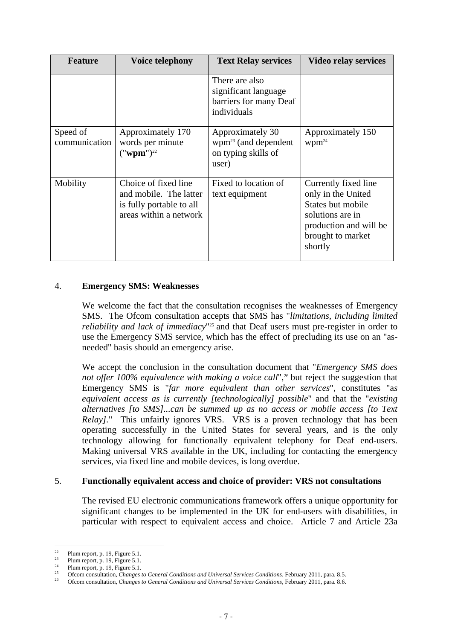| <b>Feature</b>            | <b>Voice telephony</b>                                                                               | <b>Text Relay services</b>                                                      | <b>Video relay services</b>                                                                                                                   |
|---------------------------|------------------------------------------------------------------------------------------------------|---------------------------------------------------------------------------------|-----------------------------------------------------------------------------------------------------------------------------------------------|
|                           |                                                                                                      | There are also<br>significant language<br>barriers for many Deaf<br>individuals |                                                                                                                                               |
| Speed of<br>communication | Approximately 170<br>words per minute<br>(" <b>wpm</b> ") <sup>22</sup>                              | Approximately 30<br>$wpm^{23}$ (and dependent<br>on typing skills of<br>user)   | Approximately 150<br>$Wpm^{24}$                                                                                                               |
| Mobility                  | Choice of fixed line<br>and mobile. The latter<br>is fully portable to all<br>areas within a network | Fixed to location of<br>text equipment                                          | Currently fixed line<br>only in the United<br>States but mobile<br>solutions are in<br>production and will be<br>brought to market<br>shortly |

# 4. **Emergency SMS: Weaknesses**

We welcome the fact that the consultation recognises the weaknesses of Emergency SMS. The Ofcom consultation accepts that SMS has "*limitations, including limited reliability and lack of immediacy*"25 and that Deaf users must pre-register in order to use the Emergency SMS service, which has the effect of precluding its use on an "asneeded" basis should an emergency arise.

We accept the conclusion in the consultation document that "*Emergency SMS does*  not offer 100% equivalence with making a voice call",<sup>26</sup> but reject the suggestion that Emergency SMS is "*far more equivalent than other services*", constitutes "a*s equivalent access as is currently [technologically] possible*" and that the "*existing alternatives [to SMS]...can be summed up as no access or mobile access [to Text Relay].*" This unfairly ignores VRS. VRS is a proven technology that has been operating successfully in the United States for several years, and is the only technology allowing for functionally equivalent telephony for Deaf end-users. Making universal VRS available in the UK, including for contacting the emergency services, via fixed line and mobile devices, is long overdue.

# 5. **Functionally equivalent access and choice of provider: VRS not consultations**

The revised EU electronic communications framework offers a unique opportunity for significant changes to be implemented in the UK for end-users with disabilities, in particular with respect to equivalent access and choice. Article 7 and Article 23a

<sup>22</sup> 

<sup>&</sup>lt;sup>22</sup> Plum report, p. 19, Figure 5.1.<br>
<sup>23</sup> Plum report, p. 19, Figure 5.1.<br>
<sup>24</sup> Plum report, p. 19, Figure 5.1.<br>
<sup>25</sup> Ofcom consultation, *Changes to General Conditions and Universal Services Conditions*, February 2011,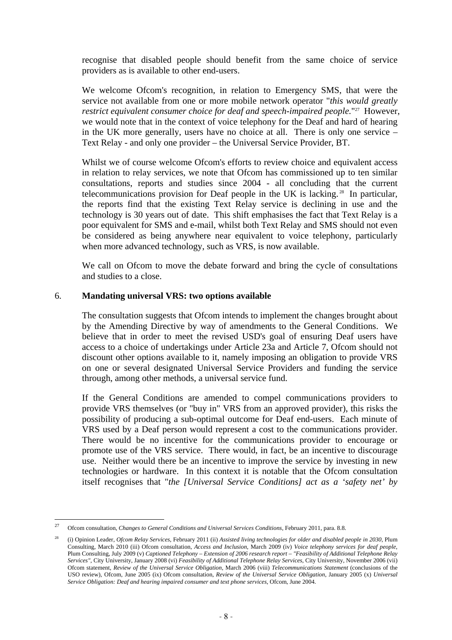recognise that disabled people should benefit from the same choice of service providers as is available to other end-users.

We welcome Ofcom's recognition, in relation to Emergency SMS, that were the service not available from one or more mobile network operator "*this would greatly restrict equivalent consumer choice for deaf and speech-impaired people.*"<sup>27</sup> However, we would note that in the context of voice telephony for the Deaf and hard of hearing in the UK more generally, users have no choice at all. There is only one service – Text Relay - and only one provider – the Universal Service Provider, BT.

Whilst we of course welcome Ofcom's efforts to review choice and equivalent access in relation to relay services, we note that Ofcom has commissioned up to ten similar consultations, reports and studies since 2004 - all concluding that the current telecommunications provision for Deaf people in the UK is lacking. 28 In particular, the reports find that the existing Text Relay service is declining in use and the technology is 30 years out of date. This shift emphasises the fact that Text Relay is a poor equivalent for SMS and e-mail, whilst both Text Relay and SMS should not even be considered as being anywhere near equivalent to voice telephony, particularly when more advanced technology, such as VRS, is now available.

We call on Ofcom to move the debate forward and bring the cycle of consultations and studies to a close.

# 6. **Mandating universal VRS: two options available**

The consultation suggests that Ofcom intends to implement the changes brought about by the Amending Directive by way of amendments to the General Conditions. We believe that in order to meet the revised USD's goal of ensuring Deaf users have access to a choice of undertakings under Article 23a and Article 7, Ofcom should not discount other options available to it, namely imposing an obligation to provide VRS on one or several designated Universal Service Providers and funding the service through, among other methods, a universal service fund.

If the General Conditions are amended to compel communications providers to provide VRS themselves (or "buy in" VRS from an approved provider), this risks the possibility of producing a sub-optimal outcome for Deaf end-users. Each minute of VRS used by a Deaf person would represent a cost to the communications provider. There would be no incentive for the communications provider to encourage or promote use of the VRS service. There would, in fact, be an incentive to discourage use. Neither would there be an incentive to improve the service by investing in new technologies or hardware. In this context it is notable that the Ofcom consultation itself recognises that "*the [Universal Service Conditions] act as a 'safety net' by* 

 $\overline{a}$ 27 Ofcom consultation, *Changes to General Conditions and Universal Services Conditions,* February 2011, para. 8.8.

<sup>28 (</sup>i) Opinion Leader, *Ofcom Relay Services*, February 2011 (ii) *Assisted living technologies for older and disabled people in 2030*, Plum Consulting, March 2010 (iii) Ofcom consultation, *Access and Inclusion*, March 2009 (iv) *Voice telephony services for deaf people*, Plum Consulting, July 2009 (v) *Captioned Telephony – Extension of 2006 research report – "Feasibility of Additional Telephone Relay Services"*, City University, January 2008 (vi) *Feasibility of Additional Telephone Relay Services*, City University, November 2006 (vii) Ofcom statement, *Review of the Universal Service Obligation*, March 2006 (viii) *Telecommunications Statement* (conclusions of the USO review), Ofcom, June 2005 (ix) Ofcom consultation, *Review of the Universal Service Obligation*, January 2005 (x) *Universal Service Obligation: Deaf and hearing impaired consumer and text phone services*, Ofcom, June 2004.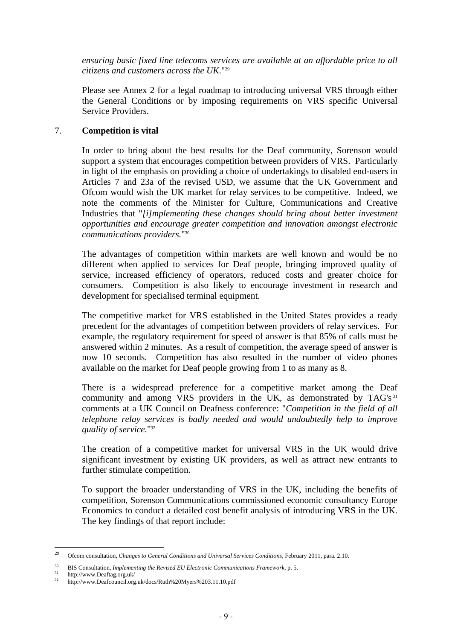*ensuring basic fixed line telecoms services are available at an affordable price to all citizens and customers across the UK*."29

Please see Annex 2 for a legal roadmap to introducing universal VRS through either the General Conditions or by imposing requirements on VRS specific Universal Service Providers.

# 7. **Competition is vital**

In order to bring about the best results for the Deaf community, Sorenson would support a system that encourages competition between providers of VRS. Particularly in light of the emphasis on providing a choice of undertakings to disabled end-users in Articles 7 and 23a of the revised USD, we assume that the UK Government and Ofcom would wish the UK market for relay services to be competitive. Indeed, we note the comments of the Minister for Culture, Communications and Creative Industries that "*[i]mplementing these changes should bring about better investment opportunities and encourage greater competition and innovation amongst electronic communications providers.*"30

The advantages of competition within markets are well known and would be no different when applied to services for Deaf people, bringing improved quality of service, increased efficiency of operators, reduced costs and greater choice for consumers. Competition is also likely to encourage investment in research and development for specialised terminal equipment.

The competitive market for VRS established in the United States provides a ready precedent for the advantages of competition between providers of relay services. For example, the regulatory requirement for speed of answer is that 85% of calls must be answered within 2 minutes. As a result of competition, the average speed of answer is now 10 seconds. Competition has also resulted in the number of video phones available on the market for Deaf people growing from 1 to as many as 8.

There is a widespread preference for a competitive market among the Deaf community and among VRS providers in the UK, as demonstrated by TAG's<sup>31</sup> comments at a UK Council on Deafness conference: "*Competition in the field of all telephone relay services is badly needed and would undoubtedly help to improve quality of service.*"32

The creation of a competitive market for universal VRS in the UK would drive significant investment by existing UK providers, as well as attract new entrants to further stimulate competition.

To support the broader understanding of VRS in the UK, including the benefits of competition, Sorenson Communications commissioned economic consultancy Europe Economics to conduct a detailed cost benefit analysis of introducing VRS in the UK. The key findings of that report include:

<sup>29</sup> 29 Ofcom consultation, *Changes to General Conditions and Universal Services Conditions,* February 2011, para. 2.10.

<sup>&</sup>lt;sup>30</sup> BIS Consultation, *Implementing the Revised EU Electronic Communications Framework*, p. 5.

 $31$  http://www.Deaftag.org.uk/

<sup>32</sup> http://www.Deafcouncil.org.uk/docs/Ruth%20Myers%203.11.10.pdf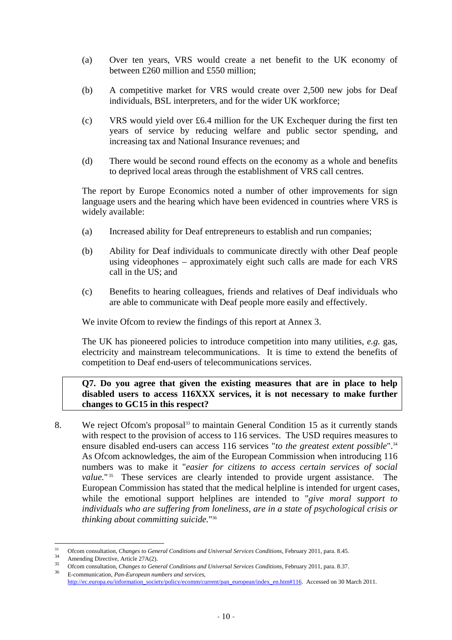- (a) Over ten years, VRS would create a net benefit to the UK economy of between £260 million and £550 million;
- (b) A competitive market for VRS would create over 2,500 new jobs for Deaf individuals, BSL interpreters, and for the wider UK workforce;
- (c) VRS would yield over £6.4 million for the UK Exchequer during the first ten years of service by reducing welfare and public sector spending, and increasing tax and National Insurance revenues; and
- (d) There would be second round effects on the economy as a whole and benefits to deprived local areas through the establishment of VRS call centres.

The report by Europe Economics noted a number of other improvements for sign language users and the hearing which have been evidenced in countries where VRS is widely available:

- (a) Increased ability for Deaf entrepreneurs to establish and run companies;
- (b) Ability for Deaf individuals to communicate directly with other Deaf people using videophones – approximately eight such calls are made for each VRS call in the US; and
- (c) Benefits to hearing colleagues, friends and relatives of Deaf individuals who are able to communicate with Deaf people more easily and effectively.

We invite Ofcom to review the findings of this report at Annex 3.

The UK has pioneered policies to introduce competition into many utilities, *e.g.* gas, electricity and mainstream telecommunications. It is time to extend the benefits of competition to Deaf end-users of telecommunications services.

# **Q7. Do you agree that given the existing measures that are in place to help disabled users to access 116XXX services, it is not necessary to make further changes to GC15 in this respect?**

8. We reject Ofcom's proposal<sup>33</sup> to maintain General Condition 15 as it currently stands with respect to the provision of access to 116 services. The USD requires measures to ensure disabled end-users can access 116 services "*to the greatest extent possible*".34 As Ofcom acknowledges, the aim of the European Commission when introducing 116 numbers was to make it "*easier for citizens to access certain services of social value.*"<sup>35</sup> These services are clearly intended to provide urgent assistance. The European Commission has stated that the medical helpline is intended for urgent cases, while the emotional support helplines are intended to "*give moral support to individuals who are suffering from loneliness, are in a state of psychological crisis or thinking about committing suicide.*"36

 $33$ 

<sup>&</sup>lt;sup>33</sup> Ofcom consultation, *Changes to General Conditions and Universal Services Conditions*, February 2011, para. 8.45.<br>
Amending Directive, Article 27A(2).<br>
<sup>35</sup> Ofcom consultation, *Changes to General Conditions and Univ* 

http://ec.europa.eu/information\_society/policy/ecomm/current/pan\_european/index\_en.htm#116. Accessed on 30 March 2011.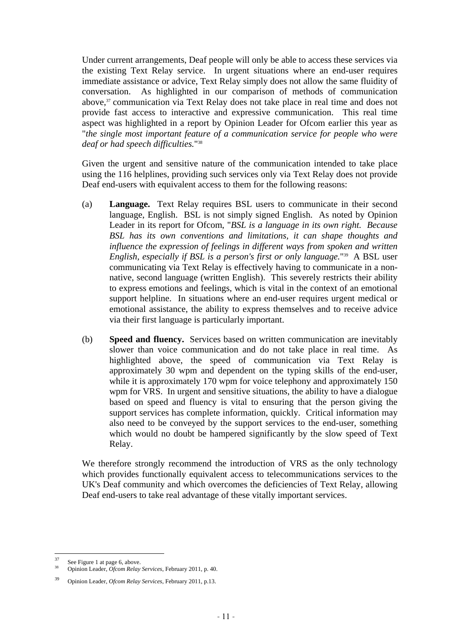Under current arrangements, Deaf people will only be able to access these services via the existing Text Relay service. In urgent situations where an end-user requires immediate assistance or advice, Text Relay simply does not allow the same fluidity of conversation. As highlighted in our comparison of methods of communication above,<sup>37</sup> communication via Text Relay does not take place in real time and does not provide fast access to interactive and expressive communication. This real time aspect was highlighted in a report by Opinion Leader for Ofcom earlier this year as "*the single most important feature of a communication service for people who were deaf or had speech difficulties.*"38

Given the urgent and sensitive nature of the communication intended to take place using the 116 helplines, providing such services only via Text Relay does not provide Deaf end-users with equivalent access to them for the following reasons:

- (a) **Language.** Text Relay requires BSL users to communicate in their second language, English. BSL is not simply signed English. As noted by Opinion Leader in its report for Ofcom, "*BSL is a language in its own right. Because BSL has its own conventions and limitations, it can shape thoughts and influence the expression of feelings in different ways from spoken and written English, especially if BSL is a person's first or only language.*"39 A BSL user communicating via Text Relay is effectively having to communicate in a nonnative, second language (written English). This severely restricts their ability to express emotions and feelings, which is vital in the context of an emotional support helpline. In situations where an end-user requires urgent medical or emotional assistance, the ability to express themselves and to receive advice via their first language is particularly important.
- (b) **Speed and fluency.** Services based on written communication are inevitably slower than voice communication and do not take place in real time. As highlighted above, the speed of communication via Text Relay is approximately 30 wpm and dependent on the typing skills of the end-user, while it is approximately 170 wpm for voice telephony and approximately 150 wpm for VRS. In urgent and sensitive situations, the ability to have a dialogue based on speed and fluency is vital to ensuring that the person giving the support services has complete information, quickly. Critical information may also need to be conveyed by the support services to the end-user, something which would no doubt be hampered significantly by the slow speed of Text Relay.

We therefore strongly recommend the introduction of VRS as the only technology which provides functionally equivalent access to telecommunications services to the UK's Deaf community and which overcomes the deficiencies of Text Relay, allowing Deaf end-users to take real advantage of these vitally important services.

 $37$ 

<sup>&</sup>lt;sup>37</sup> See Figure 1 at page 6, above.<br><sup>38</sup> Opinion Leader, *Ofcom Relay Services*, February 2011, p. 40.

<sup>39</sup> Opinion Leader, *Ofcom Relay Services*, February 2011, p.13.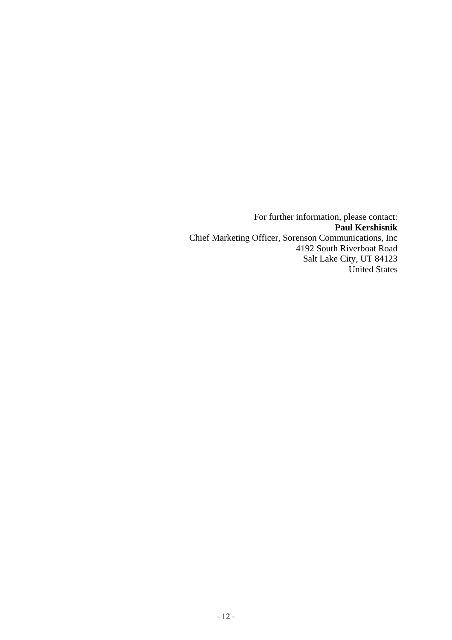For further information, please contact: **Paul Kershisnik** Chief Marketing Officer, Sorenson Communications, Inc 4192 South Riverboat Road Salt Lake City, UT 84123 United States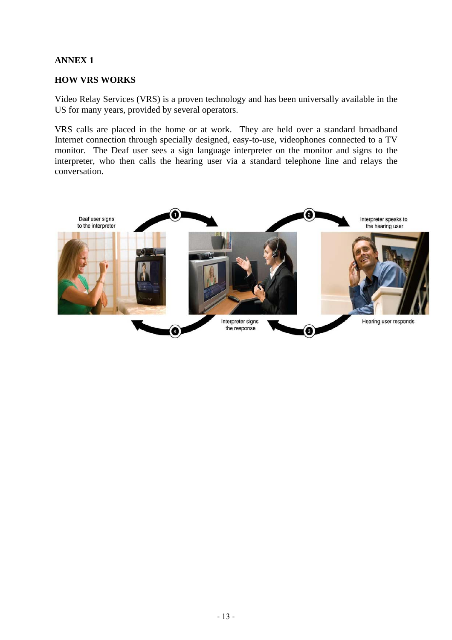# **ANNEX 1**

# **HOW VRS WORKS**

Video Relay Services (VRS) is a proven technology and has been universally available in the US for many years, provided by several operators.

VRS calls are placed in the home or at work. They are held over a standard broadband Internet connection through specially designed, easy-to-use, videophones connected to a TV monitor. The Deaf user sees a sign language interpreter on the monitor and signs to the interpreter, who then calls the hearing user via a standard telephone line and relays the conversation.

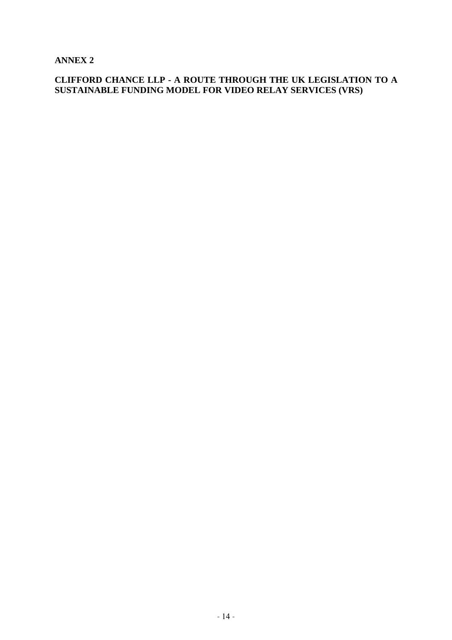**ANNEX 2** 

**CLIFFORD CHANCE LLP - A ROUTE THROUGH THE UK LEGISLATION TO A SUSTAINABLE FUNDING MODEL FOR VIDEO RELAY SERVICES (VRS)**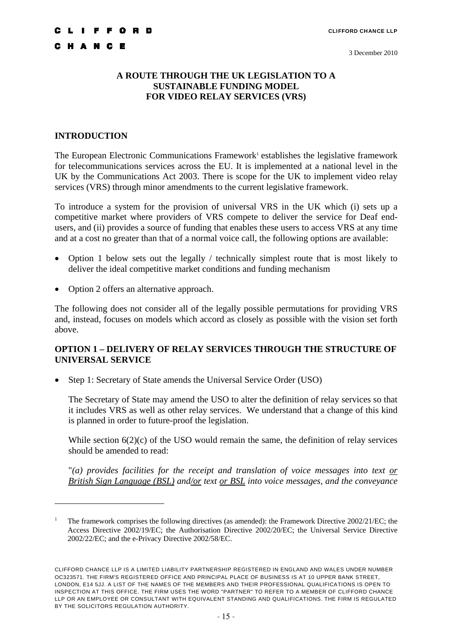# **A ROUTE THROUGH THE UK LEGISLATION TO A SUSTAINABLE FUNDING MODEL FOR VIDEO RELAY SERVICES (VRS)**

# **INTRODUCTION**

 $\overline{a}$ 

The European Electronic Communications Framework<sup>1</sup> establishes the legislative framework for telecommunications services across the EU. It is implemented at a national level in the UK by the Communications Act 2003. There is scope for the UK to implement video relay services (VRS) through minor amendments to the current legislative framework.

To introduce a system for the provision of universal VRS in the UK which (i) sets up a competitive market where providers of VRS compete to deliver the service for Deaf endusers, and (ii) provides a source of funding that enables these users to access VRS at any time and at a cost no greater than that of a normal voice call, the following options are available:

- Option 1 below sets out the legally / technically simplest route that is most likely to deliver the ideal competitive market conditions and funding mechanism
- Option 2 offers an alternative approach.

The following does not consider all of the legally possible permutations for providing VRS and, instead, focuses on models which accord as closely as possible with the vision set forth above.

# **OPTION 1 – DELIVERY OF RELAY SERVICES THROUGH THE STRUCTURE OF UNIVERSAL SERVICE**

• Step 1: Secretary of State amends the Universal Service Order (USO)

The Secretary of State may amend the USO to alter the definition of relay services so that it includes VRS as well as other relay services. We understand that a change of this kind is planned in order to future-proof the legislation.

While section  $6(2)(c)$  of the USO would remain the same, the definition of relay services should be amended to read:

"*(a) provides facilities for the receipt and translation of voice messages into text or British Sign Language (BSL) and/or text or BSL into voice messages, and the conveyance* 

<sup>1</sup> The framework comprises the following directives (as amended): the Framework Directive 2002/21/EC; the Access Directive 2002/19/EC; the Authorisation Directive 2002/20/EC; the Universal Service Directive 2002/22/EC; and the e-Privacy Directive 2002/58/EC.

CLIFFORD CHANCE LLP IS A LIMITED LIABILITY PARTNERSHIP REGISTERED IN ENGLAND AND WALES UNDER NUMBER OC323571. THE FIRM'S REGISTERED OFFICE AND PRINCIPAL PLACE OF BUSINESS IS AT 10 UPPER BANK STREET, LONDON, E14 5JJ. A LIST OF THE NAMES OF THE MEMBERS AND THEIR PROFESSIONAL QUALIFICATIONS IS OPEN TO INSPECTION AT THIS OFFICE. THE FIRM USES THE WORD "PARTNER" TO REFER TO A MEMBER OF CLIFFORD CHANCE LLP OR AN EMPLOYEE OR CONSULTANT WITH EQUIVALENT STANDING AND QUALIFICATIONS. THE FIRM IS REGULATED BY THE SOLICITORS REGULATION AUTHORITY.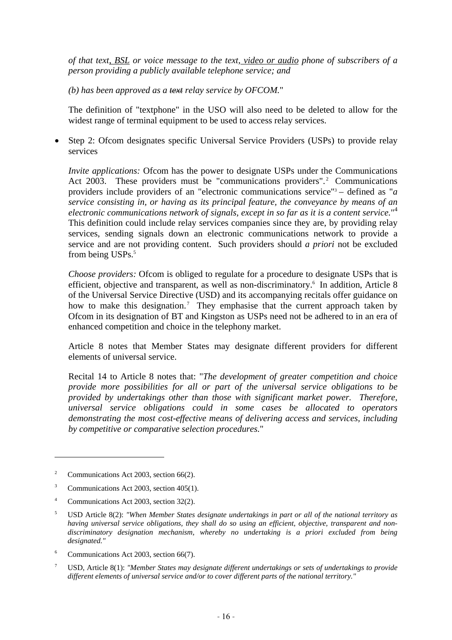*of that text, BSL or voice message to the text, video or audio phone of subscribers of a person providing a publicly available telephone service; and* 

*(b) has been approved as a text relay service by OFCOM.*"

The definition of "textphone" in the USO will also need to be deleted to allow for the widest range of terminal equipment to be used to access relay services.

• Step 2: Ofcom designates specific Universal Service Providers (USPs) to provide relay services

*Invite applications:* Ofcom has the power to designate USPs under the Communications Act 2003. These providers must be "communications providers".<sup>2</sup> Communications providers include providers of an "electronic communications service"3 – defined as "*a service consisting in, or having as its principal feature, the conveyance by means of an electronic communications network of signals, except in so far as it is a content service.*" 4 This definition could include relay services companies since they are, by providing relay services, sending signals down an electronic communications network to provide a service and are not providing content. Such providers should *a priori* not be excluded from being USPs.<sup>5</sup>

*Choose providers:* Ofcom is obliged to regulate for a procedure to designate USPs that is efficient, objective and transparent, as well as non-discriminatory.<sup>6</sup> In addition, Article 8 of the Universal Service Directive (USD) and its accompanying recitals offer guidance on how to make this designation.<sup>7</sup> They emphasise that the current approach taken by Ofcom in its designation of BT and Kingston as USPs need not be adhered to in an era of enhanced competition and choice in the telephony market.

Article 8 notes that Member States may designate different providers for different elements of universal service.

Recital 14 to Article 8 notes that: "*The development of greater competition and choice provide more possibilities for all or part of the universal service obligations to be provided by undertakings other than those with significant market power. Therefore, universal service obligations could in some cases be allocated to operators demonstrating the most cost-effective means of delivering access and services, including by competitive or comparative selection procedures.*"

- 6 Communications Act 2003, section 66(7).
- 7 USD, Article 8(1): *"Member States may designate different undertakings or sets of undertakings to provide different elements of universal service and/or to cover different parts of the national territory."*

 $\overline{2}$ Communications Act 2003, section 66(2).

<sup>3</sup> Communications Act 2003, section 405(1).

<sup>4</sup> Communications Act 2003, section 32(2).

<sup>5</sup> USD Article 8(2): *"When Member States designate undertakings in part or all of the national territory as having universal service obligations, they shall do so using an efficient, objective, transparent and nondiscriminatory designation mechanism, whereby no undertaking is a priori excluded from being designated."*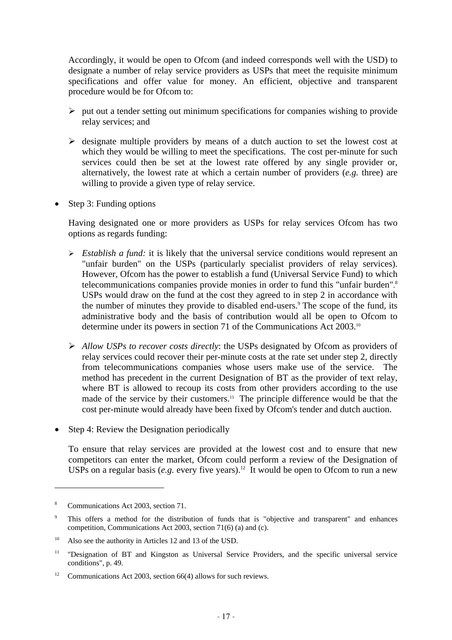Accordingly, it would be open to Ofcom (and indeed corresponds well with the USD) to designate a number of relay service providers as USPs that meet the requisite minimum specifications and offer value for money. An efficient, objective and transparent procedure would be for Ofcom to:

- $\triangleright$  put out a tender setting out minimum specifications for companies wishing to provide relay services; and
- $\triangleright$  designate multiple providers by means of a dutch auction to set the lowest cost at which they would be willing to meet the specifications. The cost per-minute for such services could then be set at the lowest rate offered by any single provider or, alternatively, the lowest rate at which a certain number of providers (*e.g.* three) are willing to provide a given type of relay service.
- Step 3: Funding options

Having designated one or more providers as USPs for relay services Ofcom has two options as regards funding:

- ¾ *Establish a fund:* it is likely that the universal service conditions would represent an "unfair burden" on the USPs (particularly specialist providers of relay services). However, Ofcom has the power to establish a fund (Universal Service Fund) to which telecommunications companies provide monies in order to fund this "unfair burden". 8 USPs would draw on the fund at the cost they agreed to in step 2 in accordance with the number of minutes they provide to disabled end-users.<sup>9</sup> The scope of the fund, its administrative body and the basis of contribution would all be open to Ofcom to determine under its powers in section 71 of the Communications Act 2003.10
- ¾ *Allow USPs to recover costs directly*: the USPs designated by Ofcom as providers of relay services could recover their per-minute costs at the rate set under step 2, directly from telecommunications companies whose users make use of the service. The method has precedent in the current Designation of BT as the provider of text relay, where BT is allowed to recoup its costs from other providers according to the use made of the service by their customers.<sup>11</sup> The principle difference would be that the cost per-minute would already have been fixed by Ofcom's tender and dutch auction.
- Step 4: Review the Designation periodically

To ensure that relay services are provided at the lowest cost and to ensure that new competitors can enter the market, Ofcom could perform a review of the Designation of USPs on a regular basis (*e.g.* every five years).<sup>12</sup> It would be open to Ofcom to run a new

<sup>8</sup> Communications Act 2003, section 71.

<sup>9</sup> This offers a method for the distribution of funds that is "objective and transparent" and enhances competition, Communications Act 2003, section 71(6) (a) and (c).

<sup>&</sup>lt;sup>10</sup> Also see the authority in Articles 12 and 13 of the USD.

<sup>&</sup>lt;sup>11</sup> "Designation of BT and Kingston as Universal Service Providers, and the specific universal service conditions", p. 49.

<sup>&</sup>lt;sup>12</sup> Communications Act 2003, section 66(4) allows for such reviews.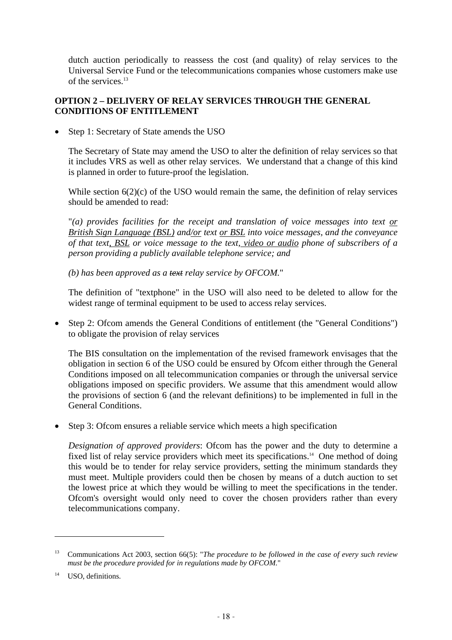dutch auction periodically to reassess the cost (and quality) of relay services to the Universal Service Fund or the telecommunications companies whose customers make use of the services.13

# **OPTION 2 – DELIVERY OF RELAY SERVICES THROUGH THE GENERAL CONDITIONS OF ENTITLEMENT**

• Step 1: Secretary of State amends the USO

The Secretary of State may amend the USO to alter the definition of relay services so that it includes VRS as well as other relay services. We understand that a change of this kind is planned in order to future-proof the legislation.

While section  $6(2)(c)$  of the USO would remain the same, the definition of relay services should be amended to read:

"*(a) provides facilities for the receipt and translation of voice messages into text or British Sign Language (BSL) and/or text or BSL into voice messages, and the conveyance of that text, BSL or voice message to the text, video or audio phone of subscribers of a person providing a publicly available telephone service; and* 

*(b) has been approved as a text relay service by OFCOM.*"

The definition of "textphone" in the USO will also need to be deleted to allow for the widest range of terminal equipment to be used to access relay services.

• Step 2: Ofcom amends the General Conditions of entitlement (the "General Conditions") to obligate the provision of relay services

The BIS consultation on the implementation of the revised framework envisages that the obligation in section 6 of the USO could be ensured by Ofcom either through the General Conditions imposed on all telecommunication companies or through the universal service obligations imposed on specific providers. We assume that this amendment would allow the provisions of section 6 (and the relevant definitions) to be implemented in full in the General Conditions.

• Step 3: Ofcom ensures a reliable service which meets a high specification

*Designation of approved providers*: Ofcom has the power and the duty to determine a fixed list of relay service providers which meet its specifications.<sup>14</sup> One method of doing this would be to tender for relay service providers, setting the minimum standards they must meet. Multiple providers could then be chosen by means of a dutch auction to set the lowest price at which they would be willing to meet the specifications in the tender. Ofcom's oversight would only need to cover the chosen providers rather than every telecommunications company.

<sup>13</sup> Communications Act 2003, section 66(5): "*The procedure to be followed in the case of every such review must be the procedure provided for in regulations made by OFCOM.*"

<sup>&</sup>lt;sup>14</sup> USO, definitions.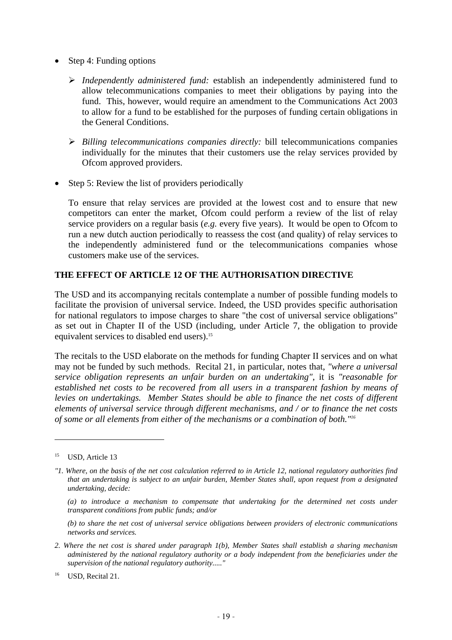- Step 4: Funding options
	- ¾ *Independently administered fund:* establish an independently administered fund to allow telecommunications companies to meet their obligations by paying into the fund. This, however, would require an amendment to the Communications Act 2003 to allow for a fund to be established for the purposes of funding certain obligations in the General Conditions.
	- ¾ *Billing telecommunications companies directly:* bill telecommunications companies individually for the minutes that their customers use the relay services provided by Ofcom approved providers.
- Step 5: Review the list of providers periodically

To ensure that relay services are provided at the lowest cost and to ensure that new competitors can enter the market, Ofcom could perform a review of the list of relay service providers on a regular basis (*e.g.* every five years). It would be open to Ofcom to run a new dutch auction periodically to reassess the cost (and quality) of relay services to the independently administered fund or the telecommunications companies whose customers make use of the services.

# **THE EFFECT OF ARTICLE 12 OF THE AUTHORISATION DIRECTIVE**

The USD and its accompanying recitals contemplate a number of possible funding models to facilitate the provision of universal service. Indeed, the USD provides specific authorisation for national regulators to impose charges to share "the cost of universal service obligations" as set out in Chapter II of the USD (including, under Article 7, the obligation to provide equivalent services to disabled end users).<sup>15</sup>

The recitals to the USD elaborate on the methods for funding Chapter II services and on what may not be funded by such methods. Recital 21, in particular, notes that, *"where a universal service obligation represents an unfair burden on an undertaking"*, it is *"reasonable for established net costs to be recovered from all users in a transparent fashion by means of levies on undertakings. Member States should be able to finance the net costs of different elements of universal service through different mechanisms, and / or to finance the net costs of some or all elements from either of the mechanisms or a combination of both."16*

 $\overline{a}$ 

*(a) to introduce a mechanism to compensate that undertaking for the determined net costs under transparent conditions from public funds; and/or* 

*(b) to share the net cost of universal service obligations between providers of electronic communications networks and services.* 

- *2. Where the net cost is shared under paragraph 1(b), Member States shall establish a sharing mechanism administered by the national regulatory authority or a body independent from the beneficiaries under the supervision of the national regulatory authority....."*
- <sup>16</sup> USD, Recital 21.

<sup>&</sup>lt;sup>15</sup> USD, Article 13

*<sup>&</sup>quot;1. Where, on the basis of the net cost calculation referred to in Article 12, national regulatory authorities find that an undertaking is subject to an unfair burden, Member States shall, upon request from a designated undertaking, decide:*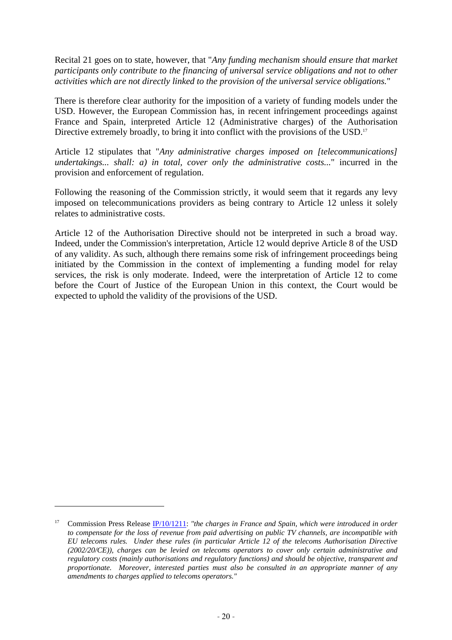Recital 21 goes on to state, however, that "*Any funding mechanism should ensure that market participants only contribute to the financing of universal service obligations and not to other activities which are not directly linked to the provision of the universal service obligations.*"

There is therefore clear authority for the imposition of a variety of funding models under the USD. However, the European Commission has, in recent infringement proceedings against France and Spain, interpreted Article 12 (Administrative charges) of the Authorisation Directive extremely broadly, to bring it into conflict with the provisions of the USD.<sup>17</sup>

Article 12 stipulates that "*Any administrative charges imposed on [telecommunications] undertakings... shall: a) in total, cover only the administrative costs...*" incurred in the provision and enforcement of regulation.

Following the reasoning of the Commission strictly, it would seem that it regards any levy imposed on telecommunications providers as being contrary to Article 12 unless it solely relates to administrative costs.

Article 12 of the Authorisation Directive should not be interpreted in such a broad way. Indeed, under the Commission's interpretation, Article 12 would deprive Article 8 of the USD of any validity. As such, although there remains some risk of infringement proceedings being initiated by the Commission in the context of implementing a funding model for relay services, the risk is only moderate. Indeed, were the interpretation of Article 12 to come before the Court of Justice of the European Union in this context, the Court would be expected to uphold the validity of the provisions of the USD.

<sup>&</sup>lt;sup>17</sup> Commission Press Release **IP/10/1211:** "the charges in France and Spain, which were introduced in order *to compensate for the loss of revenue from paid advertising on public TV channels, are incompatible with EU telecoms rules. Under these rules (in particular Article 12 of the telecoms Authorisation Directive (2002/20/CE)), charges can be levied on telecoms operators to cover only certain administrative and regulatory costs (mainly authorisations and regulatory functions) and should be objective, transparent and proportionate. Moreover, interested parties must also be consulted in an appropriate manner of any amendments to charges applied to telecoms operators."*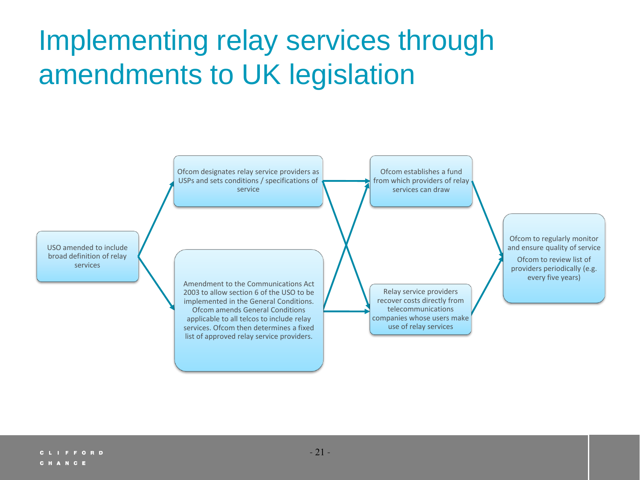# Implementing relay services through amendments to UK legislation

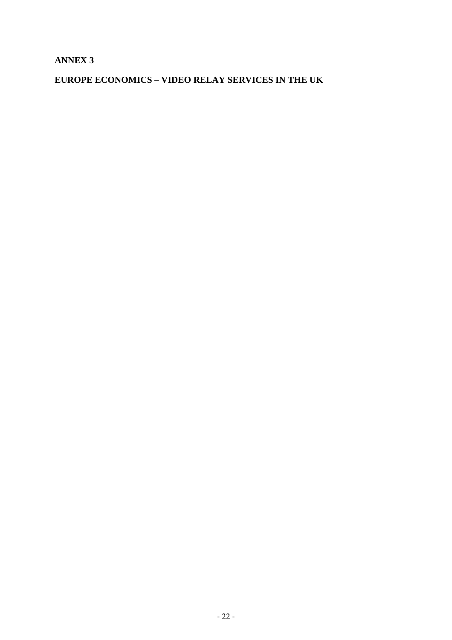# **ANNEX 3**

# **EUROPE ECONOMICS – VIDEO RELAY SERVICES IN THE UK**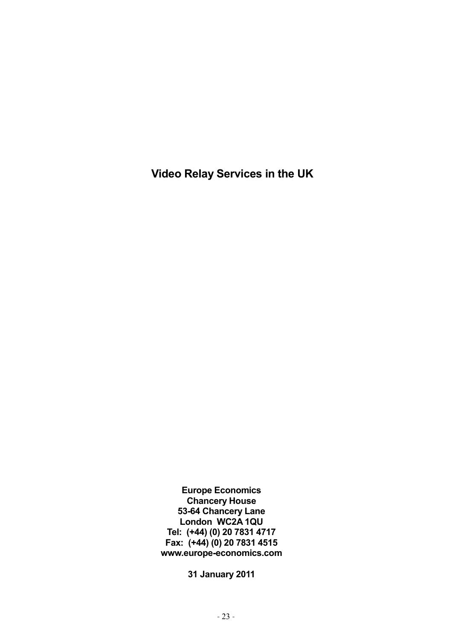**Video Relay Services in the UK** 

**Europe Economics Chancery House 53-64 Chancery Lane London WC2A 1QU Tel: (+44) (0) 20 7831 4717 Fax: (+44) (0) 20 7831 4515 www.europe-economics.com** 

**31 January 2011**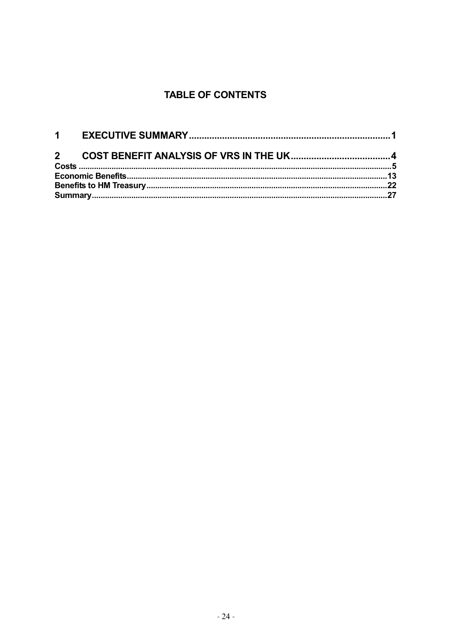# **TABLE OF CONTENTS**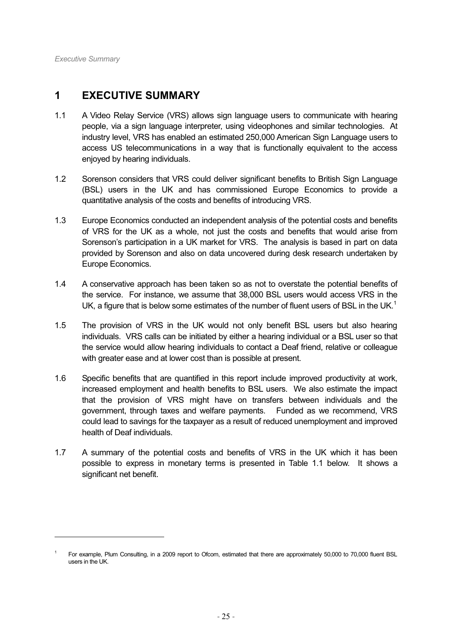-

# **1 EXECUTIVE SUMMARY**

- 1.1 A Video Relay Service (VRS) allows sign language users to communicate with hearing people, via a sign language interpreter, using videophones and similar technologies. At industry level, VRS has enabled an estimated 250,000 American Sign Language users to access US telecommunications in a way that is functionally equivalent to the access enjoyed by hearing individuals.
- 1.2 Sorenson considers that VRS could deliver significant benefits to British Sign Language (BSL) users in the UK and has commissioned Europe Economics to provide a quantitative analysis of the costs and benefits of introducing VRS.
- 1.3 Europe Economics conducted an independent analysis of the potential costs and benefits of VRS for the UK as a whole, not just the costs and benefits that would arise from Sorenson's participation in a UK market for VRS. The analysis is based in part on data provided by Sorenson and also on data uncovered during desk research undertaken by Europe Economics.
- 1.4 A conservative approach has been taken so as not to overstate the potential benefits of the service. For instance, we assume that 38,000 BSL users would access VRS in the UK, a figure that is below some estimates of the number of fluent users of BSL in the UK.<sup>1</sup>
- 1.5 The provision of VRS in the UK would not only benefit BSL users but also hearing individuals. VRS calls can be initiated by either a hearing individual or a BSL user so that the service would allow hearing individuals to contact a Deaf friend, relative or colleague with greater ease and at lower cost than is possible at present.
- 1.6 Specific benefits that are quantified in this report include improved productivity at work, increased employment and health benefits to BSL users. We also estimate the impact that the provision of VRS might have on transfers between individuals and the government, through taxes and welfare payments. Funded as we recommend, VRS could lead to savings for the taxpayer as a result of reduced unemployment and improved health of Deaf individuals.
- 1.7 A summary of the potential costs and benefits of VRS in the UK which it has been possible to express in monetary terms is presented in Table 1.1 below. It shows a significant net benefit.

<sup>1</sup> For example, Plum Consulting, in a 2009 report to Ofcom, estimated that there are approximately 50,000 to 70,000 fluent BSL users in the UK.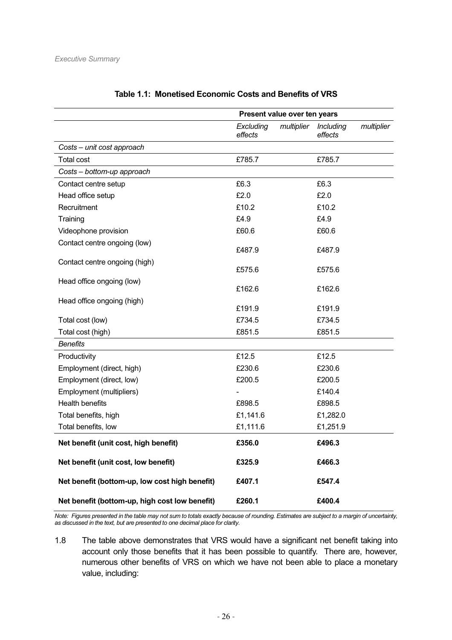|                                                | Present value over ten years       |                                    |  |
|------------------------------------------------|------------------------------------|------------------------------------|--|
|                                                | multiplier<br>Excluding<br>effects | multiplier<br>Including<br>effects |  |
| Costs - unit cost approach                     |                                    |                                    |  |
| <b>Total cost</b>                              | £785.7                             | £785.7                             |  |
| Costs - bottom-up approach                     |                                    |                                    |  |
| Contact centre setup                           | £6.3                               | £6.3                               |  |
| Head office setup                              | £2.0                               | £2.0                               |  |
| Recruitment                                    | £10.2                              | £10.2                              |  |
| Training                                       | £4.9                               | £4.9                               |  |
| Videophone provision                           | £60.6                              | £60.6                              |  |
| Contact centre ongoing (low)                   | £487.9                             | £487.9                             |  |
| Contact centre ongoing (high)                  | £575.6                             | £575.6                             |  |
| Head office ongoing (low)                      | £162.6                             | £162.6                             |  |
| Head office ongoing (high)                     | £191.9                             | £191.9                             |  |
| Total cost (low)                               | £734.5                             | £734.5                             |  |
| Total cost (high)                              | £851.5                             | £851.5                             |  |
| <b>Benefits</b>                                |                                    |                                    |  |
| Productivity                                   | £12.5                              | £12.5                              |  |
| Employment (direct, high)                      | £230.6                             | £230.6                             |  |
| Employment (direct, low)                       | £200.5                             | £200.5                             |  |
| Employment (multipliers)                       |                                    | £140.4                             |  |
| <b>Health benefits</b>                         | £898.5                             | £898.5                             |  |
| Total benefits, high                           | £1,141.6                           | £1,282.0                           |  |
| Total benefits, low                            | £1,111.6                           | £1,251.9                           |  |
| Net benefit (unit cost, high benefit)          | £356.0                             | £496.3                             |  |
| Net benefit (unit cost, low benefit)           | £325.9                             | £466.3                             |  |
| Net benefit (bottom-up, low cost high benefit) | £407.1                             | £547.4                             |  |
| Net benefit (bottom-up, high cost low benefit) | £260.1                             | £400.4                             |  |

# **Table 1.1: Monetised Economic Costs and Benefits of VRS**

*Note: Figures presented in the table may not sum to totals exactly because of rounding. Estimates are subject to a margin of uncertainty, as discussed in the text, but are presented to one decimal place for clarity.* 

1.8 The table above demonstrates that VRS would have a significant net benefit taking into account only those benefits that it has been possible to quantify. There are, however, numerous other benefits of VRS on which we have not been able to place a monetary value, including: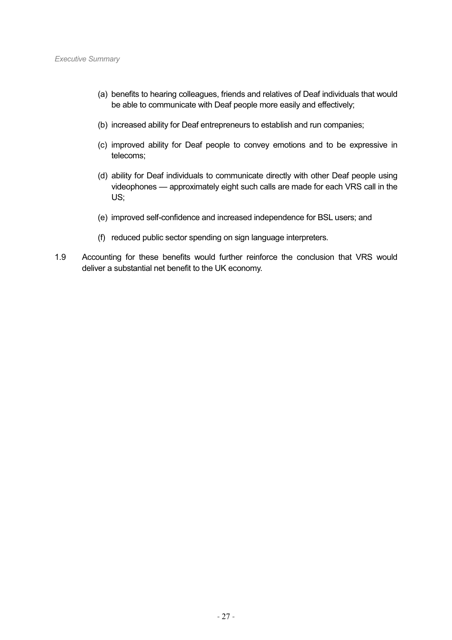- (a) benefits to hearing colleagues, friends and relatives of Deaf individuals that would be able to communicate with Deaf people more easily and effectively;
- (b) increased ability for Deaf entrepreneurs to establish and run companies;
- (c) improved ability for Deaf people to convey emotions and to be expressive in telecoms;
- (d) ability for Deaf individuals to communicate directly with other Deaf people using videophones — approximately eight such calls are made for each VRS call in the US;
- (e) improved self-confidence and increased independence for BSL users; and
- (f) reduced public sector spending on sign language interpreters.
- 1.9 Accounting for these benefits would further reinforce the conclusion that VRS would deliver a substantial net benefit to the UK economy.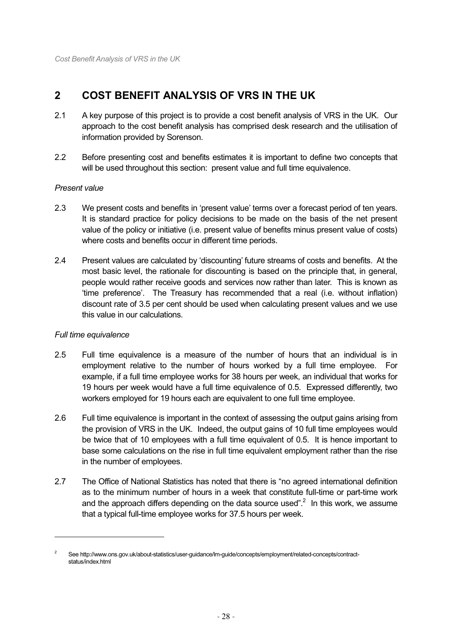# **2 COST BENEFIT ANALYSIS OF VRS IN THE UK**

- 2.1 A key purpose of this project is to provide a cost benefit analysis of VRS in the UK. Our approach to the cost benefit analysis has comprised desk research and the utilisation of information provided by Sorenson.
- 2.2 Before presenting cost and benefits estimates it is important to define two concepts that will be used throughout this section: present value and full time equivalence.

# *Present value*

- 2.3 We present costs and benefits in 'present value' terms over a forecast period of ten years. It is standard practice for policy decisions to be made on the basis of the net present value of the policy or initiative (i.e. present value of benefits minus present value of costs) where costs and benefits occur in different time periods.
- 2.4 Present values are calculated by 'discounting' future streams of costs and benefits. At the most basic level, the rationale for discounting is based on the principle that, in general, people would rather receive goods and services now rather than later. This is known as 'time preference'. The Treasury has recommended that a real (i.e. without inflation) discount rate of 3.5 per cent should be used when calculating present values and we use this value in our calculations.

# *Full time equivalence*

-

- 2.5 Full time equivalence is a measure of the number of hours that an individual is in employment relative to the number of hours worked by a full time employee. For example, if a full time employee works for 38 hours per week, an individual that works for 19 hours per week would have a full time equivalence of 0.5. Expressed differently, two workers employed for 19 hours each are equivalent to one full time employee.
- 2.6 Full time equivalence is important in the context of assessing the output gains arising from the provision of VRS in the UK. Indeed, the output gains of 10 full time employees would be twice that of 10 employees with a full time equivalent of 0.5. It is hence important to base some calculations on the rise in full time equivalent employment rather than the rise in the number of employees.
- 2.7 The Office of National Statistics has noted that there is "no agreed international definition as to the minimum number of hours in a week that constitute full-time or part-time work and the approach differs depending on the data source used".<sup>2</sup> In this work, we assume that a typical full-time employee works for 37.5 hours per week.

<sup>2</sup> See http://www.ons.gov.uk/about-statistics/user-guidance/lm-guide/concepts/employment/related-concepts/contractstatus/index.html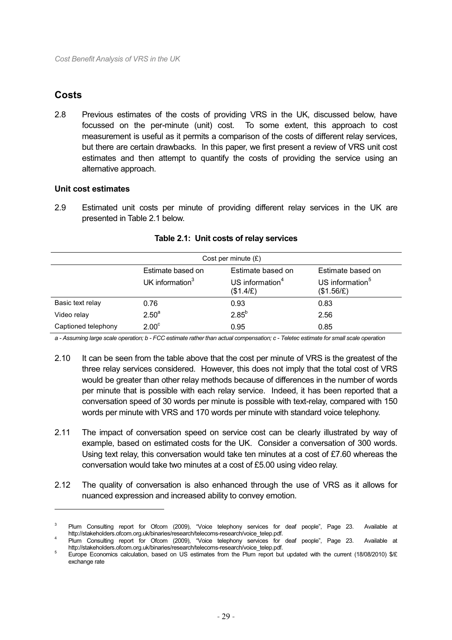# **Costs**

 $\overline{a}$ 

2.8 Previous estimates of the costs of providing VRS in the UK, discussed below, have focussed on the per-minute (unit) cost. To some extent, this approach to cost measurement is useful as it permits a comparison of the costs of different relay services, but there are certain drawbacks. In this paper, we first present a review of VRS unit cost estimates and then attempt to quantify the costs of providing the service using an alternative approach.

# **Unit cost estimates**

2.9 Estimated unit costs per minute of providing different relay services in the UK are presented in Table 2.1 below.

| Cost per minute $(E)$ |                    |                                          |                                           |  |
|-----------------------|--------------------|------------------------------------------|-------------------------------------------|--|
|                       | Estimate based on  | Estimate based on                        | Estimate based on                         |  |
|                       | UK information $3$ | US information <sup>4</sup><br>(\$1.4/E) | US information <sup>5</sup><br>(\$1.56/E) |  |
| Basic text relay      | 0.76               | 0.93                                     | 0.83                                      |  |
| Video relay           | $2.50^{a}$         | $2.85^{b}$                               | 2.56                                      |  |
| Captioned telephony   | 2.00 <sup>c</sup>  | 0.95                                     | 0.85                                      |  |

#### **Table 2.1: Unit costs of relay services**

*a - Assuming large scale operation; b - FCC estimate rather than actual compensation; c - Teletec estimate for small scale operation* 

- 2.10 It can be seen from the table above that the cost per minute of VRS is the greatest of the three relay services considered. However, this does not imply that the total cost of VRS would be greater than other relay methods because of differences in the number of words per minute that is possible with each relay service. Indeed, it has been reported that a conversation speed of 30 words per minute is possible with text-relay, compared with 150 words per minute with VRS and 170 words per minute with standard voice telephony.
- 2.11 The impact of conversation speed on service cost can be clearly illustrated by way of example, based on estimated costs for the UK. Consider a conversation of 300 words. Using text relay, this conversation would take ten minutes at a cost of £7.60 whereas the conversation would take two minutes at a cost of £5.00 using video relay.
- 2.12 The quality of conversation is also enhanced through the use of VRS as it allows for nuanced expression and increased ability to convey emotion.

<sup>3</sup> Plum Consulting report for Ofcom (2009), "Voice telephony services for deaf people", Page 23. Available at http://stakeholders.ofcom.org.uk/binaries/research/telecoms-research/voice\_telep.pdf.

Plum Consulting report for Ofcom (2009), "Voice telephony services for deaf people", Page 23. Available at http://stakeholders.ofcom.org.uk/binaries/research/telecoms-research/voice\_telep.pdf.

Europe Economics calculation, based on US estimates from the Plum report but updated with the current (18/08/2010) \$/£ exchange rate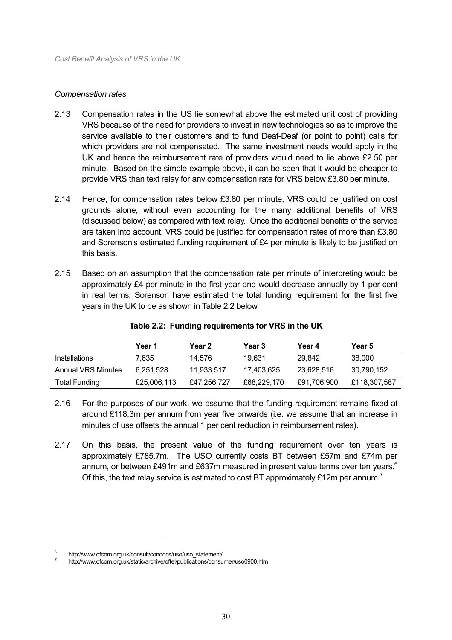#### *Compensation rates*

- 2.13 Compensation rates in the US lie somewhat above the estimated unit cost of providing VRS because of the need for providers to invest in new technologies so as to improve the service available to their customers and to fund Deaf-Deaf (or point to point) calls for which providers are not compensated. The same investment needs would apply in the UK and hence the reimbursement rate of providers would need to lie above £2.50 per minute. Based on the simple example above, it can be seen that it would be cheaper to provide VRS than text relay for any compensation rate for VRS below £3.80 per minute.
- 2.14 Hence, for compensation rates below £3.80 per minute, VRS could be justified on cost grounds alone, without even accounting for the many additional benefits of VRS (discussed below) as compared with text relay. Once the additional benefits of the service are taken into account, VRS could be justified for compensation rates of more than £3.80 and Sorenson's estimated funding requirement of £4 per minute is likely to be justified on this basis.
- 2.15 Based on an assumption that the compensation rate per minute of interpreting would be approximately £4 per minute in the first year and would decrease annually by 1 per cent in real terms, Sorenson have estimated the total funding requirement for the first five years in the UK to be as shown in Table 2.2 below.

|                      | Year 1      | Year 2      | <b>Year 3</b> | Year 4      | <b>Year 5</b> |
|----------------------|-------------|-------------|---------------|-------------|---------------|
| <b>Installations</b> | 7.635       | 14.576      | 19.631        | 29.842      | 38,000        |
| Annual VRS Minutes   | 6.251.528   | 11,933,517  | 17,403,625    | 23,628,516  | 30,790,152    |
| <b>Total Funding</b> | £25,006,113 | £47,256,727 | £68,229,170   | £91,706,900 | £118,307,587  |

#### **Table 2.2: Funding requirements for VRS in the UK**

- 2.16 For the purposes of our work, we assume that the funding requirement remains fixed at around £118.3m per annum from year five onwards (i.e. we assume that an increase in minutes of use offsets the annual 1 per cent reduction in reimbursement rates).
- 2.17 On this basis, the present value of the funding requirement over ten years is approximately £785.7m. The USO currently costs BT between £57m and £74m per annum, or between £491m and £637m measured in present value terms over ten years. $6$ Of this, the text relay service is estimated to cost BT approximately £12m per annum.<sup>7</sup>

<sup>6</sup> http://www.ofcom.org.uk/consult/condocs/uso/uso\_statement/

<sup>7</sup> http://www.ofcom.org.uk/static/archive/oftel/publications/consumer/uso0900.htm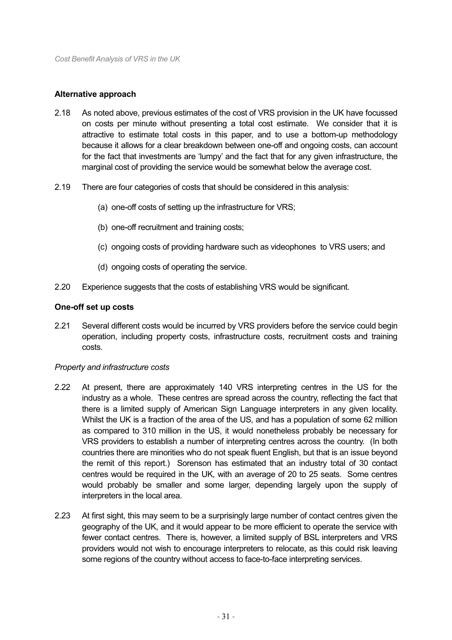# **Alternative approach**

- 2.18 As noted above, previous estimates of the cost of VRS provision in the UK have focussed on costs per minute without presenting a total cost estimate. We consider that it is attractive to estimate total costs in this paper, and to use a bottom-up methodology because it allows for a clear breakdown between one-off and ongoing costs, can account for the fact that investments are 'lumpy' and the fact that for any given infrastructure, the marginal cost of providing the service would be somewhat below the average cost.
- 2.19 There are four categories of costs that should be considered in this analysis:
	- (a) one-off costs of setting up the infrastructure for VRS;
	- (b) one-off recruitment and training costs;
	- (c) ongoing costs of providing hardware such as videophones to VRS users; and
	- (d) ongoing costs of operating the service.
- 2.20 Experience suggests that the costs of establishing VRS would be significant.

# **One-off set up costs**

2.21 Several different costs would be incurred by VRS providers before the service could begin operation, including property costs, infrastructure costs, recruitment costs and training costs.

# *Property and infrastructure costs*

- 2.22 At present, there are approximately 140 VRS interpreting centres in the US for the industry as a whole. These centres are spread across the country, reflecting the fact that there is a limited supply of American Sign Language interpreters in any given locality. Whilst the UK is a fraction of the area of the US, and has a population of some 62 million as compared to 310 million in the US, it would nonetheless probably be necessary for VRS providers to establish a number of interpreting centres across the country. (In both countries there are minorities who do not speak fluent English, but that is an issue beyond the remit of this report.) Sorenson has estimated that an industry total of 30 contact centres would be required in the UK, with an average of 20 to 25 seats. Some centres would probably be smaller and some larger, depending largely upon the supply of interpreters in the local area.
- 2.23 At first sight, this may seem to be a surprisingly large number of contact centres given the geography of the UK, and it would appear to be more efficient to operate the service with fewer contact centres. There is, however, a limited supply of BSL interpreters and VRS providers would not wish to encourage interpreters to relocate, as this could risk leaving some regions of the country without access to face-to-face interpreting services.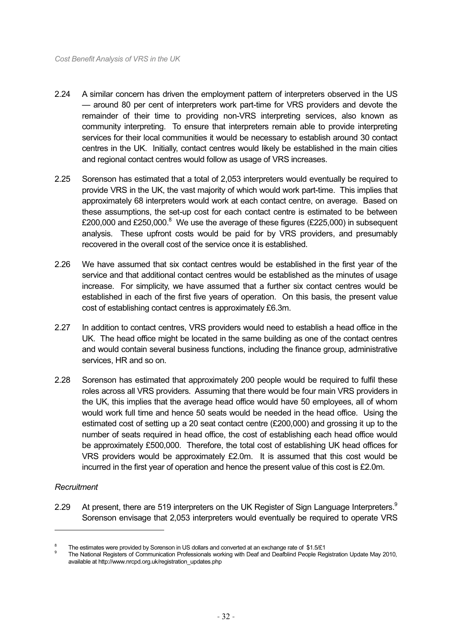- 2.24 A similar concern has driven the employment pattern of interpreters observed in the US — around 80 per cent of interpreters work part-time for VRS providers and devote the remainder of their time to providing non-VRS interpreting services, also known as community interpreting. To ensure that interpreters remain able to provide interpreting services for their local communities it would be necessary to establish around 30 contact centres in the UK. Initially, contact centres would likely be established in the main cities and regional contact centres would follow as usage of VRS increases.
- 2.25 Sorenson has estimated that a total of 2,053 interpreters would eventually be required to provide VRS in the UK, the vast majority of which would work part-time. This implies that approximately 68 interpreters would work at each contact centre, on average. Based on these assumptions, the set-up cost for each contact centre is estimated to be between £200,000 and £250,000.<sup>8</sup> We use the average of these figures (£225,000) in subsequent analysis. These upfront costs would be paid for by VRS providers, and presumably recovered in the overall cost of the service once it is established.
- 2.26 We have assumed that six contact centres would be established in the first year of the service and that additional contact centres would be established as the minutes of usage increase. For simplicity, we have assumed that a further six contact centres would be established in each of the first five years of operation. On this basis, the present value cost of establishing contact centres is approximately £6.3m.
- 2.27 In addition to contact centres, VRS providers would need to establish a head office in the UK. The head office might be located in the same building as one of the contact centres and would contain several business functions, including the finance group, administrative services, HR and so on.
- 2.28 Sorenson has estimated that approximately 200 people would be required to fulfil these roles across all VRS providers. Assuming that there would be four main VRS providers in the UK, this implies that the average head office would have 50 employees, all of whom would work full time and hence 50 seats would be needed in the head office. Using the estimated cost of setting up a 20 seat contact centre (£200,000) and grossing it up to the number of seats required in head office, the cost of establishing each head office would be approximately £500,000. Therefore, the total cost of establishing UK head offices for VRS providers would be approximately £2.0m. It is assumed that this cost would be incurred in the first year of operation and hence the present value of this cost is £2.0m.

# *Recruitment*

-

2.29 At present, there are 519 interpreters on the UK Register of Sign Language Interpreters. $9$ Sorenson envisage that 2,053 interpreters would eventually be required to operate VRS

<sup>8</sup> The estimates were provided by Sorenson in US dollars and converted at an exchange rate of \$1.5/£1

<sup>9</sup> The National Registers of Communication Professionals working with Deaf and Deafblind People Registration Update May 2010, available at http://www.nrcpd.org.uk/registration\_updates.php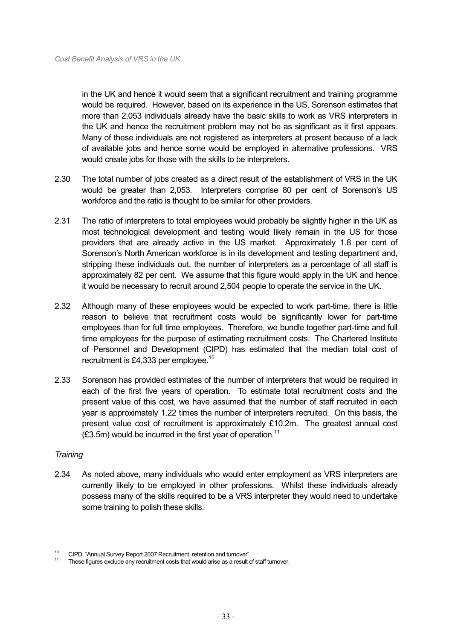in the UK and hence it would seem that a significant recruitment and training programme would be required. However, based on its experience in the US, Sorenson estimates that more than 2,053 individuals already have the basic skills to work as VRS interpreters in the UK and hence the recruitment problem may not be as significant as it first appears. Many of these individuals are not registered as interpreters at present because of a lack of available jobs and hence some would be employed in alternative professions. VRS would create jobs for those with the skills to be interpreters.

- 2.30 The total number of jobs created as a direct result of the establishment of VRS in the UK would be greater than 2,053. Interpreters comprise 80 per cent of Sorenson's US workforce and the ratio is thought to be similar for other providers.
- 2.31 The ratio of interpreters to total employees would probably be slightly higher in the UK as most technological development and testing would likely remain in the US for those providers that are already active in the US market. Approximately 1.8 per cent of Sorenson's North American workforce is in its development and testing department and, stripping these individuals out, the number of interpreters as a percentage of all staff is approximately 82 per cent. We assume that this figure would apply in the UK and hence it would be necessary to recruit around 2,504 people to operate the service in the UK.
- 2.32 Although many of these employees would be expected to work part-time, there is little reason to believe that recruitment costs would be significantly lower for part-time employees than for full time employees. Therefore, we bundle together part-time and full time employees for the purpose of estimating recruitment costs. The Chartered Institute of Personnel and Development (CIPD) has estimated that the median total cost of recruitment is £4,333 per employee.<sup>10</sup>
- 2.33 Sorenson has provided estimates of the number of interpreters that would be required in each of the first five years of operation. To estimate total recruitment costs and the present value of this cost, we have assumed that the number of staff recruited in each year is approximately 1.22 times the number of interpreters recruited. On this basis, the present value cost of recruitment is approximately £10.2m. The greatest annual cost  $(£3.5m)$  would be incurred in the first year of operation.<sup>11</sup>

# *Training*

-

2.34 As noted above, many individuals who would enter employment as VRS interpreters are currently likely to be employed in other professions. Whilst these individuals already possess many of the skills required to be a VRS interpreter they would need to undertake some training to polish these skills.

<sup>&</sup>lt;sup>10</sup>CIPD, "Annual Survey Report 2007 Recruitment, retention and turnover".<br><sup>11</sup>These figures exclude any recruitment costs that would arise as a result of staff turnover.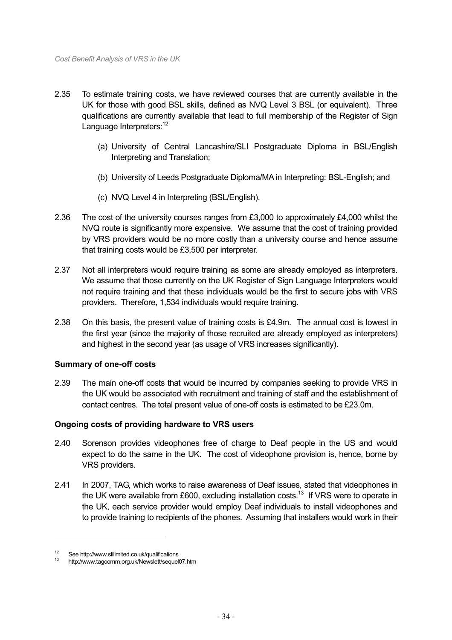- 2.35 To estimate training costs, we have reviewed courses that are currently available in the UK for those with good BSL skills, defined as NVQ Level 3 BSL (or equivalent). Three qualifications are currently available that lead to full membership of the Register of Sign Language Interpreters:<sup>12</sup>
	- (a) University of Central Lancashire/SLI Postgraduate Diploma in BSL/English Interpreting and Translation;
	- (b) University of Leeds Postgraduate Diploma/MA in Interpreting: BSL-English; and
	- (c) NVQ Level 4 in Interpreting (BSL/English).
- 2.36 The cost of the university courses ranges from £3,000 to approximately £4,000 whilst the NVQ route is significantly more expensive. We assume that the cost of training provided by VRS providers would be no more costly than a university course and hence assume that training costs would be £3,500 per interpreter.
- 2.37 Not all interpreters would require training as some are already employed as interpreters. We assume that those currently on the UK Register of Sign Language Interpreters would not require training and that these individuals would be the first to secure jobs with VRS providers. Therefore, 1,534 individuals would require training.
- 2.38 On this basis, the present value of training costs is £4.9m. The annual cost is lowest in the first year (since the majority of those recruited are already employed as interpreters) and highest in the second year (as usage of VRS increases significantly).

# **Summary of one-off costs**

2.39 The main one-off costs that would be incurred by companies seeking to provide VRS in the UK would be associated with recruitment and training of staff and the establishment of contact centres. The total present value of one-off costs is estimated to be £23.0m.

# **Ongoing costs of providing hardware to VRS users**

- 2.40 Sorenson provides videophones free of charge to Deaf people in the US and would expect to do the same in the UK. The cost of videophone provision is, hence, borne by VRS providers.
- 2.41 In 2007, TAG, which works to raise awareness of Deaf issues, stated that videophones in the UK were available from £600, excluding installation costs.<sup>13</sup> If VRS were to operate in the UK, each service provider would employ Deaf individuals to install videophones and to provide training to recipients of the phones. Assuming that installers would work in their

<sup>12</sup> See http://www.slilimited.co.uk/qualifications 13 http://www.tagcomm.org.uk/Newslett/sequel07.htm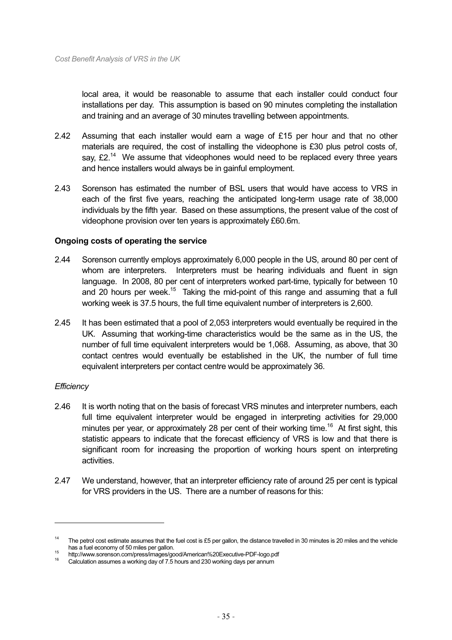local area, it would be reasonable to assume that each installer could conduct four installations per day. This assumption is based on 90 minutes completing the installation and training and an average of 30 minutes travelling between appointments.

- 2.42 Assuming that each installer would earn a wage of £15 per hour and that no other materials are required, the cost of installing the videophone is £30 plus petrol costs of, say,  $E2<sup>14</sup>$  We assume that videophones would need to be replaced every three years and hence installers would always be in gainful employment.
- 2.43 Sorenson has estimated the number of BSL users that would have access to VRS in each of the first five years, reaching the anticipated long-term usage rate of 38,000 individuals by the fifth year. Based on these assumptions, the present value of the cost of videophone provision over ten years is approximately £60.6m.

#### **Ongoing costs of operating the service**

- 2.44 Sorenson currently employs approximately 6,000 people in the US, around 80 per cent of whom are interpreters. Interpreters must be hearing individuals and fluent in sign language. In 2008, 80 per cent of interpreters worked part-time, typically for between 10 and 20 hours per week.<sup>15</sup> Taking the mid-point of this range and assuming that a full working week is 37.5 hours, the full time equivalent number of interpreters is 2,600.
- 2.45 It has been estimated that a pool of 2,053 interpreters would eventually be required in the UK. Assuming that working-time characteristics would be the same as in the US, the number of full time equivalent interpreters would be 1,068. Assuming, as above, that 30 contact centres would eventually be established in the UK, the number of full time equivalent interpreters per contact centre would be approximately 36.

# *Efficiency*

-

- 2.46 It is worth noting that on the basis of forecast VRS minutes and interpreter numbers, each full time equivalent interpreter would be engaged in interpreting activities for 29,000 minutes per year, or approximately 28 per cent of their working time.<sup>16</sup> At first sight, this statistic appears to indicate that the forecast efficiency of VRS is low and that there is significant room for increasing the proportion of working hours spent on interpreting activities.
- 2.47 We understand, however, that an interpreter efficiency rate of around 25 per cent is typical for VRS providers in the US. There are a number of reasons for this:

<sup>&</sup>lt;sup>14</sup> The petrol cost estimate assumes that the fuel cost is £5 per gallon, the distance travelled in 30 minutes is 20 miles and the vehicle

has a fuel economy of 50 miles per gallon.<br>
<sup>15</sup> http://www.sorenson.com/press/images/good/American%20Executive-PDF-logo.pdf<br>
<sup>16</sup> Calculation assumes a working day of 7.5 hours and 230 working days per annum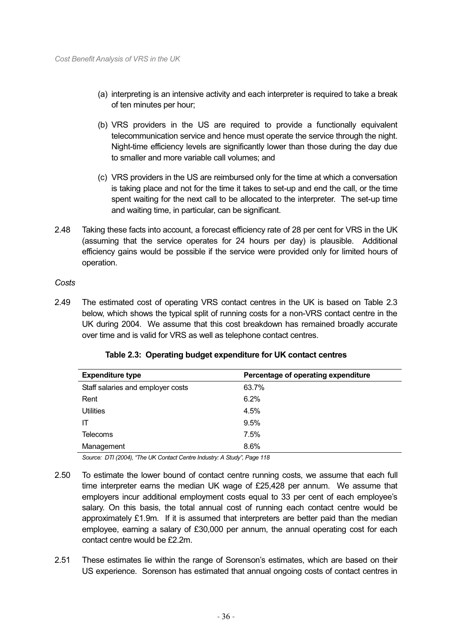- (a) interpreting is an intensive activity and each interpreter is required to take a break of ten minutes per hour;
- (b) VRS providers in the US are required to provide a functionally equivalent telecommunication service and hence must operate the service through the night. Night-time efficiency levels are significantly lower than those during the day due to smaller and more variable call volumes; and
- (c) VRS providers in the US are reimbursed only for the time at which a conversation is taking place and not for the time it takes to set-up and end the call, or the time spent waiting for the next call to be allocated to the interpreter. The set-up time and waiting time, in particular, can be significant.
- 2.48 Taking these facts into account, a forecast efficiency rate of 28 per cent for VRS in the UK (assuming that the service operates for 24 hours per day) is plausible. Additional efficiency gains would be possible if the service were provided only for limited hours of operation.

# *Costs*

2.49 The estimated cost of operating VRS contact centres in the UK is based on Table 2.3 below, which shows the typical split of running costs for a non-VRS contact centre in the UK during 2004. We assume that this cost breakdown has remained broadly accurate over time and is valid for VRS as well as telephone contact centres.

| <b>Expenditure type</b>           | Percentage of operating expenditure |
|-----------------------------------|-------------------------------------|
| Staff salaries and employer costs | 63.7%                               |
| Rent                              | 6.2%                                |
| <b>Utilities</b>                  | 4.5%                                |
| IΤ                                | 9.5%                                |
| <b>Telecoms</b>                   | 7.5%                                |
| Management                        | 8.6%                                |

**Table 2.3: Operating budget expenditure for UK contact centres** 

*Source: DTI (2004), "The UK Contact Centre Industry: A Study", Page 118*

- 2.50 To estimate the lower bound of contact centre running costs, we assume that each full time interpreter earns the median UK wage of £25,428 per annum. We assume that employers incur additional employment costs equal to 33 per cent of each employee's salary. On this basis, the total annual cost of running each contact centre would be approximately £1.9m. If it is assumed that interpreters are better paid than the median employee, earning a salary of £30,000 per annum, the annual operating cost for each contact centre would be £2.2m.
- 2.51 These estimates lie within the range of Sorenson's estimates, which are based on their US experience. Sorenson has estimated that annual ongoing costs of contact centres in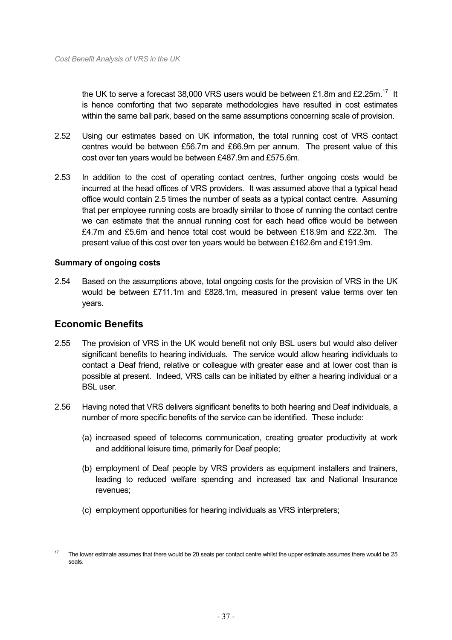the UK to serve a forecast 38,000 VRS users would be between £1.8m and £2.25m.<sup>17</sup> It is hence comforting that two separate methodologies have resulted in cost estimates within the same ball park, based on the same assumptions concerning scale of provision.

- 2.52 Using our estimates based on UK information, the total running cost of VRS contact centres would be between £56.7m and £66.9m per annum. The present value of this cost over ten years would be between £487.9m and £575.6m.
- 2.53 In addition to the cost of operating contact centres, further ongoing costs would be incurred at the head offices of VRS providers. It was assumed above that a typical head office would contain 2.5 times the number of seats as a typical contact centre. Assuming that per employee running costs are broadly similar to those of running the contact centre we can estimate that the annual running cost for each head office would be between £4.7m and £5.6m and hence total cost would be between £18.9m and £22.3m. The present value of this cost over ten years would be between £162.6m and £191.9m.

# **Summary of ongoing costs**

2.54 Based on the assumptions above, total ongoing costs for the provision of VRS in the UK would be between £711.1m and £828.1m, measured in present value terms over ten years.

# **Economic Benefits**

- 2.55 The provision of VRS in the UK would benefit not only BSL users but would also deliver significant benefits to hearing individuals. The service would allow hearing individuals to contact a Deaf friend, relative or colleague with greater ease and at lower cost than is possible at present. Indeed, VRS calls can be initiated by either a hearing individual or a BSL user.
- 2.56 Having noted that VRS delivers significant benefits to both hearing and Deaf individuals, a number of more specific benefits of the service can be identified. These include:
	- (a) increased speed of telecoms communication, creating greater productivity at work and additional leisure time, primarily for Deaf people;
	- (b) employment of Deaf people by VRS providers as equipment installers and trainers, leading to reduced welfare spending and increased tax and National Insurance revenues;
	- (c) employment opportunities for hearing individuals as VRS interpreters;

<sup>17</sup> The lower estimate assumes that there would be 20 seats per contact centre whilst the upper estimate assumes there would be 25 seats.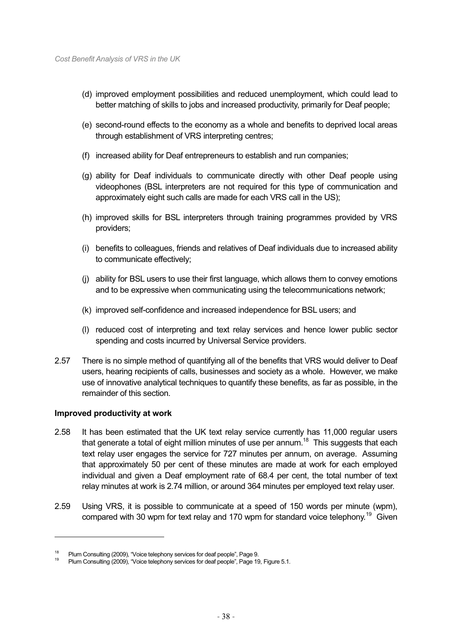- (d) improved employment possibilities and reduced unemployment, which could lead to better matching of skills to jobs and increased productivity, primarily for Deaf people;
- (e) second-round effects to the economy as a whole and benefits to deprived local areas through establishment of VRS interpreting centres;
- (f) increased ability for Deaf entrepreneurs to establish and run companies;
- (g) ability for Deaf individuals to communicate directly with other Deaf people using videophones (BSL interpreters are not required for this type of communication and approximately eight such calls are made for each VRS call in the US);
- (h) improved skills for BSL interpreters through training programmes provided by VRS providers;
- (i) benefits to colleagues, friends and relatives of Deaf individuals due to increased ability to communicate effectively;
- (j) ability for BSL users to use their first language, which allows them to convey emotions and to be expressive when communicating using the telecommunications network;
- (k) improved self-confidence and increased independence for BSL users; and
- (l) reduced cost of interpreting and text relay services and hence lower public sector spending and costs incurred by Universal Service providers.
- 2.57 There is no simple method of quantifying all of the benefits that VRS would deliver to Deaf users, hearing recipients of calls, businesses and society as a whole. However, we make use of innovative analytical techniques to quantify these benefits, as far as possible, in the remainder of this section.

# **Improved productivity at work**

- 2.58 It has been estimated that the UK text relay service currently has 11,000 regular users that generate a total of eight million minutes of use per annum.<sup>18</sup> This suggests that each text relay user engages the service for 727 minutes per annum, on average. Assuming that approximately 50 per cent of these minutes are made at work for each employed individual and given a Deaf employment rate of 68.4 per cent, the total number of text relay minutes at work is 2.74 million, or around 364 minutes per employed text relay user.
- 2.59 Using VRS, it is possible to communicate at a speed of 150 words per minute (wpm), compared with 30 wpm for text relay and 170 wpm for standard voice telephony.<sup>19</sup> Given

<sup>&</sup>lt;sup>18</sup> Plum Consulting (2009), "Voice telephony services for deaf people", Page 9.<br><sup>19</sup> Plum Consulting (2009), "Voice telephony services for deaf people", Page 19, Figure 5.1.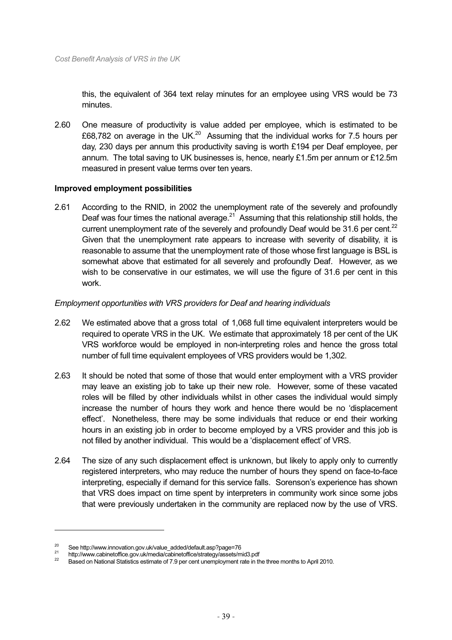this, the equivalent of 364 text relay minutes for an employee using VRS would be 73 minutes.

2.60 One measure of productivity is value added per employee, which is estimated to be £68,782 on average in the UK.<sup>20</sup> Assuming that the individual works for 7.5 hours per day, 230 days per annum this productivity saving is worth £194 per Deaf employee, per annum. The total saving to UK businesses is, hence, nearly £1.5m per annum or £12.5m measured in present value terms over ten years.

#### **Improved employment possibilities**

2.61 According to the RNID, in 2002 the unemployment rate of the severely and profoundly Deaf was four times the national average. $21$  Assuming that this relationship still holds, the current unemployment rate of the severely and profoundly Deaf would be 31.6 per cent. $^{22}$ Given that the unemployment rate appears to increase with severity of disability, it is reasonable to assume that the unemployment rate of those whose first language is BSL is somewhat above that estimated for all severely and profoundly Deaf. However, as we wish to be conservative in our estimates, we will use the figure of 31.6 per cent in this work.

#### *Employment opportunities with VRS providers for Deaf and hearing individuals*

- 2.62 We estimated above that a gross total of 1,068 full time equivalent interpreters would be required to operate VRS in the UK. We estimate that approximately 18 per cent of the UK VRS workforce would be employed in non-interpreting roles and hence the gross total number of full time equivalent employees of VRS providers would be 1,302.
- 2.63 It should be noted that some of those that would enter employment with a VRS provider may leave an existing job to take up their new role. However, some of these vacated roles will be filled by other individuals whilst in other cases the individual would simply increase the number of hours they work and hence there would be no 'displacement effect'. Nonetheless, there may be some individuals that reduce or end their working hours in an existing job in order to become employed by a VRS provider and this job is not filled by another individual. This would be a 'displacement effect' of VRS.
- 2.64 The size of any such displacement effect is unknown, but likely to apply only to currently registered interpreters, who may reduce the number of hours they spend on face-to-face interpreting, especially if demand for this service falls. Sorenson's experience has shown that VRS does impact on time spent by interpreters in community work since some jobs that were previously undertaken in the community are replaced now by the use of VRS.

-

<sup>&</sup>lt;sup>20</sup> See http://www.innovation.gov.uk/value\_added/default.asp?page=76<br>
http://www.cabinetoffice.gov.uk/media/cabinetoffice/strategy/assets/mid3.pdf<br>
<sup>22</sup> Based on National Statistics estimate of 7.9 per cent unemployment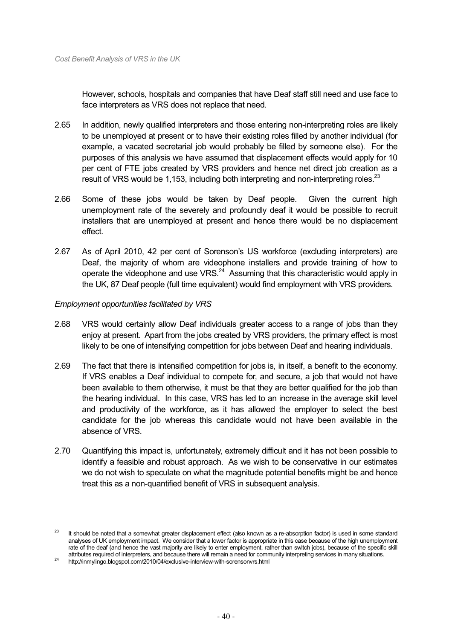However, schools, hospitals and companies that have Deaf staff still need and use face to face interpreters as VRS does not replace that need.

- 2.65 In addition, newly qualified interpreters and those entering non-interpreting roles are likely to be unemployed at present or to have their existing roles filled by another individual (for example, a vacated secretarial job would probably be filled by someone else). For the purposes of this analysis we have assumed that displacement effects would apply for 10 per cent of FTE jobs created by VRS providers and hence net direct job creation as a result of VRS would be 1,153, including both interpreting and non-interpreting roles.<sup>23</sup>
- 2.66 Some of these jobs would be taken by Deaf people. Given the current high unemployment rate of the severely and profoundly deaf it would be possible to recruit installers that are unemployed at present and hence there would be no displacement effect.
- 2.67 As of April 2010, 42 per cent of Sorenson's US workforce (excluding interpreters) are Deaf, the majority of whom are videophone installers and provide training of how to operate the videophone and use VRS. $24$  Assuming that this characteristic would apply in the UK, 87 Deaf people (full time equivalent) would find employment with VRS providers.

#### *Employment opportunities facilitated by VRS*

- 2.68 VRS would certainly allow Deaf individuals greater access to a range of jobs than they enjoy at present. Apart from the jobs created by VRS providers, the primary effect is most likely to be one of intensifying competition for jobs between Deaf and hearing individuals.
- 2.69 The fact that there is intensified competition for jobs is, in itself, a benefit to the economy. If VRS enables a Deaf individual to compete for, and secure, a job that would not have been available to them otherwise, it must be that they are better qualified for the job than the hearing individual. In this case, VRS has led to an increase in the average skill level and productivity of the workforce, as it has allowed the employer to select the best candidate for the job whereas this candidate would not have been available in the absence of VRS.
- 2.70 Quantifying this impact is, unfortunately, extremely difficult and it has not been possible to identify a feasible and robust approach. As we wish to be conservative in our estimates we do not wish to speculate on what the magnitude potential benefits might be and hence treat this as a non-quantified benefit of VRS in subsequent analysis.

<sup>&</sup>lt;sup>23</sup> It should be noted that a somewhat greater displacement effect (also known as a re-absorption factor) is used in some standard analyses of UK employment impact. We consider that a lower factor is appropriate in this case because of the high unemployment rate of the deaf (and hence the vast majority are likely to enter employment, rather than switch jobs), because of the specific skill attributes required of interpreters, and because there will remain a need for community interpreting services in many situations. 24 http://inmylingo.blogspot.com/2010/04/exclusive-interview-with-sorensonvrs.html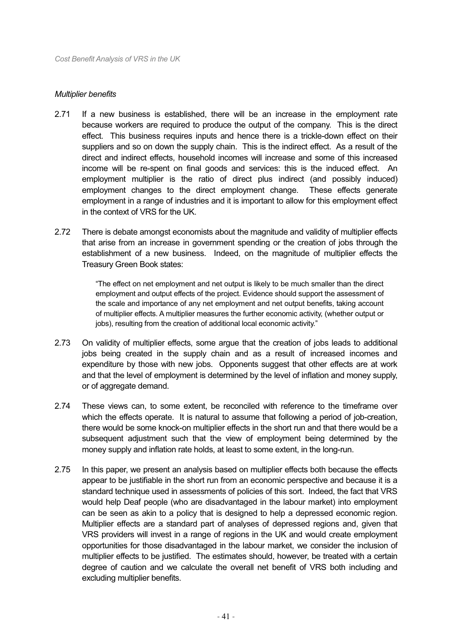#### *Multiplier benefits*

- 2.71 If a new business is established, there will be an increase in the employment rate because workers are required to produce the output of the company. This is the direct effect. This business requires inputs and hence there is a trickle-down effect on their suppliers and so on down the supply chain. This is the indirect effect. As a result of the direct and indirect effects, household incomes will increase and some of this increased income will be re-spent on final goods and services: this is the induced effect. An employment multiplier is the ratio of direct plus indirect (and possibly induced) employment changes to the direct employment change. These effects generate employment in a range of industries and it is important to allow for this employment effect in the context of VRS for the UK.
- 2.72 There is debate amongst economists about the magnitude and validity of multiplier effects that arise from an increase in government spending or the creation of jobs through the establishment of a new business. Indeed, on the magnitude of multiplier effects the Treasury Green Book states:

"The effect on net employment and net output is likely to be much smaller than the direct employment and output effects of the project. Evidence should support the assessment of the scale and importance of any net employment and net output benefits, taking account of multiplier effects. A multiplier measures the further economic activity, (whether output or jobs), resulting from the creation of additional local economic activity."

- 2.73 On validity of multiplier effects, some argue that the creation of jobs leads to additional jobs being created in the supply chain and as a result of increased incomes and expenditure by those with new jobs. Opponents suggest that other effects are at work and that the level of employment is determined by the level of inflation and money supply, or of aggregate demand.
- 2.74 These views can, to some extent, be reconciled with reference to the timeframe over which the effects operate. It is natural to assume that following a period of job-creation, there would be some knock-on multiplier effects in the short run and that there would be a subsequent adjustment such that the view of employment being determined by the money supply and inflation rate holds, at least to some extent, in the long-run.
- 2.75 In this paper, we present an analysis based on multiplier effects both because the effects appear to be justifiable in the short run from an economic perspective and because it is a standard technique used in assessments of policies of this sort. Indeed, the fact that VRS would help Deaf people (who are disadvantaged in the labour market) into employment can be seen as akin to a policy that is designed to help a depressed economic region. Multiplier effects are a standard part of analyses of depressed regions and, given that VRS providers will invest in a range of regions in the UK and would create employment opportunities for those disadvantaged in the labour market, we consider the inclusion of multiplier effects to be justified. The estimates should, however, be treated with a certain degree of caution and we calculate the overall net benefit of VRS both including and excluding multiplier benefits.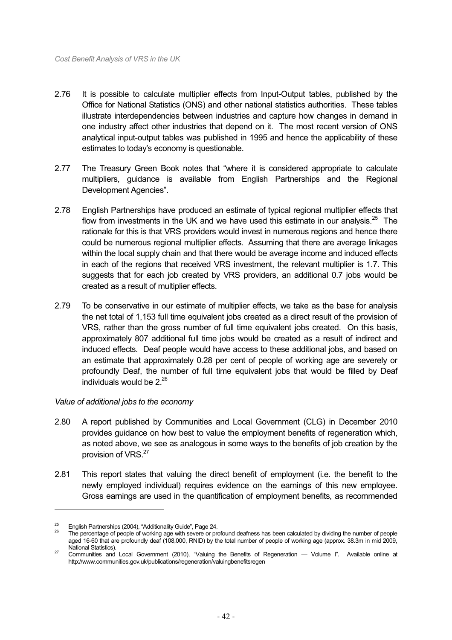- 2.76 It is possible to calculate multiplier effects from Input-Output tables, published by the Office for National Statistics (ONS) and other national statistics authorities. These tables illustrate interdependencies between industries and capture how changes in demand in one industry affect other industries that depend on it. The most recent version of ONS analytical input-output tables was published in 1995 and hence the applicability of these estimates to today's economy is questionable.
- 2.77 The Treasury Green Book notes that "where it is considered appropriate to calculate multipliers, guidance is available from English Partnerships and the Regional Development Agencies".
- 2.78 English Partnerships have produced an estimate of typical regional multiplier effects that flow from investments in the UK and we have used this estimate in our analysis.<sup>25</sup> The rationale for this is that VRS providers would invest in numerous regions and hence there could be numerous regional multiplier effects. Assuming that there are average linkages within the local supply chain and that there would be average income and induced effects in each of the regions that received VRS investment, the relevant multiplier is 1.7. This suggests that for each job created by VRS providers, an additional 0.7 jobs would be created as a result of multiplier effects.
- 2.79 To be conservative in our estimate of multiplier effects, we take as the base for analysis the net total of 1,153 full time equivalent jobs created as a direct result of the provision of VRS, rather than the gross number of full time equivalent jobs created. On this basis, approximately 807 additional full time jobs would be created as a result of indirect and induced effects. Deaf people would have access to these additional jobs, and based on an estimate that approximately 0.28 per cent of people of working age are severely or profoundly Deaf, the number of full time equivalent jobs that would be filled by Deaf individuals would be  $2^{26}$

# *Value of additional jobs to the economy*

- 2.80 A report published by Communities and Local Government (CLG) in December 2010 provides guidance on how best to value the employment benefits of regeneration which, as noted above, we see as analogous in some ways to the benefits of job creation by the provision of VRS.<sup>27</sup>
- 2.81 This report states that valuing the direct benefit of employment (i.e. the benefit to the newly employed individual) requires evidence on the earnings of this new employee. Gross earnings are used in the quantification of employment benefits, as recommended

English Partnerships (2004), "Additionality Guide", Page 24.<br>The percentage of people of working age with severe or profound deafness has been calculated by dividing the number of people aged 16-60 that are profoundly deaf (108,000, RNID) by the total number of people of working age (approx. 38.3m in mid 2009, National Statistics).<br><sup>27</sup> Communities and Local Government (2010), "Valuing the Benefits of Regeneration — Volume I". Available online at

http://www.communities.gov.uk/publications/regeneration/valuingbenefitsregen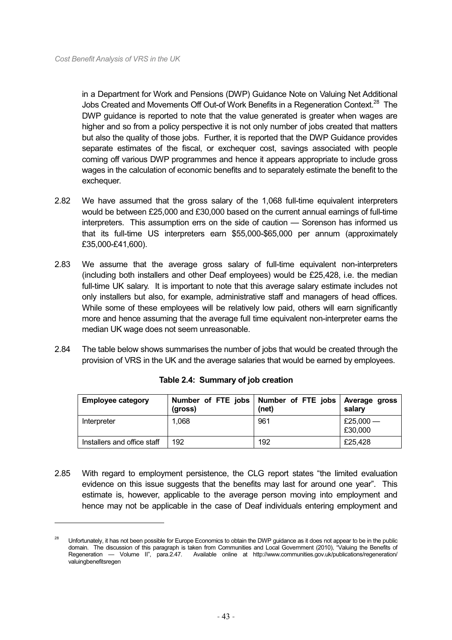$\overline{a}$ 

in a Department for Work and Pensions (DWP) Guidance Note on Valuing Net Additional Jobs Created and Movements Off Out-of Work Benefits in a Regeneration Context.28 The DWP guidance is reported to note that the value generated is greater when wages are higher and so from a policy perspective it is not only number of jobs created that matters but also the quality of those jobs. Further, it is reported that the DWP Guidance provides separate estimates of the fiscal, or exchequer cost, savings associated with people coming off various DWP programmes and hence it appears appropriate to include gross wages in the calculation of economic benefits and to separately estimate the benefit to the exchequer.

- 2.82 We have assumed that the gross salary of the 1,068 full-time equivalent interpreters would be between £25,000 and £30,000 based on the current annual earnings of full-time interpreters. This assumption errs on the side of caution — Sorenson has informed us that its full-time US interpreters earn \$55,000-\$65,000 per annum (approximately £35,000-£41,600).
- 2.83 We assume that the average gross salary of full-time equivalent non-interpreters (including both installers and other Deaf employees) would be £25,428, i.e. the median full-time UK salary. It is important to note that this average salary estimate includes not only installers but also, for example, administrative staff and managers of head offices. While some of these employees will be relatively low paid, others will earn significantly more and hence assuming that the average full time equivalent non-interpreter earns the median UK wage does not seem unreasonable.
- 2.84 The table below shows summarises the number of jobs that would be created through the provision of VRS in the UK and the average salaries that would be earned by employees.

| <b>Employee category</b>    | (gross) | Number of FTE jobs   Number of FTE jobs   Average gross<br>(net) | salary               |
|-----------------------------|---------|------------------------------------------------------------------|----------------------|
| Interpreter                 | 1,068   | 961                                                              | £25,000 —<br>£30,000 |
| Installers and office staff | 192     | 192                                                              | £25,428              |

# **Table 2.4: Summary of job creation**

2.85 With regard to employment persistence, the CLG report states "the limited evaluation evidence on this issue suggests that the benefits may last for around one year". This estimate is, however, applicable to the average person moving into employment and hence may not be applicable in the case of Deaf individuals entering employment and

<sup>&</sup>lt;sup>28</sup> Unfortunately, it has not been possible for Europe Economics to obtain the DWP guidance as it does not appear to be in the public domain. The discussion of this paragraph is taken from Communities and Local Government (2010), "Valuing the Benefits of Regeneration — Volume II", para.2.47. Available online at http://www.communities.gov.uk/publications/regeneration/ valuingbenefitsregen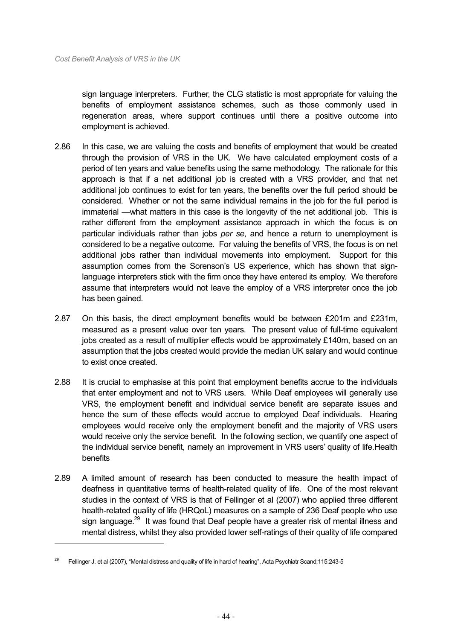sign language interpreters. Further, the CLG statistic is most appropriate for valuing the benefits of employment assistance schemes, such as those commonly used in regeneration areas, where support continues until there a positive outcome into employment is achieved.

- 2.86 In this case, we are valuing the costs and benefits of employment that would be created through the provision of VRS in the UK. We have calculated employment costs of a period of ten years and value benefits using the same methodology. The rationale for this approach is that if a net additional job is created with a VRS provider, and that net additional job continues to exist for ten years, the benefits over the full period should be considered. Whether or not the same individual remains in the job for the full period is immaterial —what matters in this case is the longevity of the net additional job. This is rather different from the employment assistance approach in which the focus is on particular individuals rather than jobs *per se*, and hence a return to unemployment is considered to be a negative outcome. For valuing the benefits of VRS, the focus is on net additional jobs rather than individual movements into employment. Support for this assumption comes from the Sorenson's US experience, which has shown that signlanguage interpreters stick with the firm once they have entered its employ. We therefore assume that interpreters would not leave the employ of a VRS interpreter once the job has been gained.
- 2.87 On this basis, the direct employment benefits would be between £201m and £231m, measured as a present value over ten years. The present value of full-time equivalent jobs created as a result of multiplier effects would be approximately £140m, based on an assumption that the jobs created would provide the median UK salary and would continue to exist once created.
- 2.88 It is crucial to emphasise at this point that employment benefits accrue to the individuals that enter employment and not to VRS users. While Deaf employees will generally use VRS, the employment benefit and individual service benefit are separate issues and hence the sum of these effects would accrue to employed Deaf individuals. Hearing employees would receive only the employment benefit and the majority of VRS users would receive only the service benefit. In the following section, we quantify one aspect of the individual service benefit, namely an improvement in VRS users' quality of life.Health benefits
- 2.89 A limited amount of research has been conducted to measure the health impact of deafness in quantitative terms of health-related quality of life. One of the most relevant studies in the context of VRS is that of Fellinger et al (2007) who applied three different health-related quality of life (HRQoL) measures on a sample of 236 Deaf people who use sign language.<sup>29</sup> It was found that Deaf people have a greater risk of mental illness and mental distress, whilst they also provided lower self-ratings of their quality of life compared

-

<sup>&</sup>lt;sup>29</sup> Fellinger J. et al (2007), "Mental distress and quality of life in hard of hearing", Acta Psychiatr Scand;115:243-5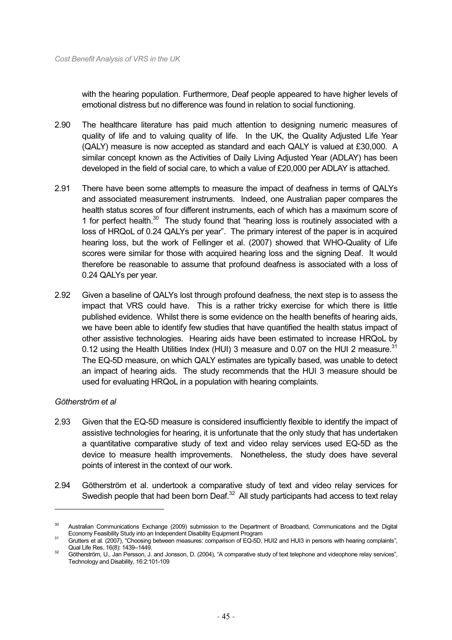with the hearing population. Furthermore, Deaf people appeared to have higher levels of emotional distress but no difference was found in relation to social functioning.

- 2.90 The healthcare literature has paid much attention to designing numeric measures of quality of life and to valuing quality of life. In the UK, the Quality Adjusted Life Year (QALY) measure is now accepted as standard and each QALY is valued at £30,000. A similar concept known as the Activities of Daily Living Adjusted Year (ADLAY) has been developed in the field of social care, to which a value of £20,000 per ADLAY is attached.
- 2.91 There have been some attempts to measure the impact of deafness in terms of QALYs and associated measurement instruments. Indeed, one Australian paper compares the health status scores of four different instruments, each of which has a maximum score of 1 for perfect health. $30$  The study found that "hearing loss is routinely associated with a loss of HRQoL of 0.24 QALYs per year". The primary interest of the paper is in acquired hearing loss, but the work of Fellinger et al. (2007) showed that WHO-Quality of Life scores were similar for those with acquired hearing loss and the signing Deaf. It would therefore be reasonable to assume that profound deafness is associated with a loss of 0.24 QALYs per year.
- 2.92 Given a baseline of QALYs lost through profound deafness, the next step is to assess the impact that VRS could have. This is a rather tricky exercise for which there is little published evidence. Whilst there is some evidence on the health benefits of hearing aids, we have been able to identify few studies that have quantified the health status impact of other assistive technologies. Hearing aids have been estimated to increase HRQoL by 0.12 using the Health Utilities Index (HUI) 3 measure and 0.07 on the HUI 2 measure. $31$ The EQ-5D measure, on which QALY estimates are typically based, was unable to detect an impact of hearing aids. The study recommends that the HUI 3 measure should be used for evaluating HRQoL in a population with hearing complaints.

# *Götherström et al*

- 2.93 Given that the EQ-5D measure is considered insufficiently flexible to identify the impact of assistive technologies for hearing, it is unfortunate that the only study that has undertaken a quantitative comparative study of text and video relay services used EQ-5D as the device to measure health improvements. Nonetheless, the study does have several points of interest in the context of our work.
- 2.94 Götherström et al. undertook a comparative study of text and video relay services for Swedish people that had been born Deaf. $32$  All study participants had access to text relay

Australian Communications Exchange (2009) submission to the Department of Broadband, Communications and the Digital<br>Economy Feasibility Study into an Independent Disability Equipment Program

Economy Feasibility Study into an Independent Disability Equipment Program 31 Grutters et al. (2007), "Choosing between measures: comparison of EQ-5D, HUI2 and HUI3 in persons with hearing complaints",

Qual Life Res. 16(8): 1439–1449.<br>
Götherström, U., Jan Persson, J. and Jonsson, D. (2004), "A comparative study of text telephone and videophone relay services", Technology and Disability, 16:2:101-109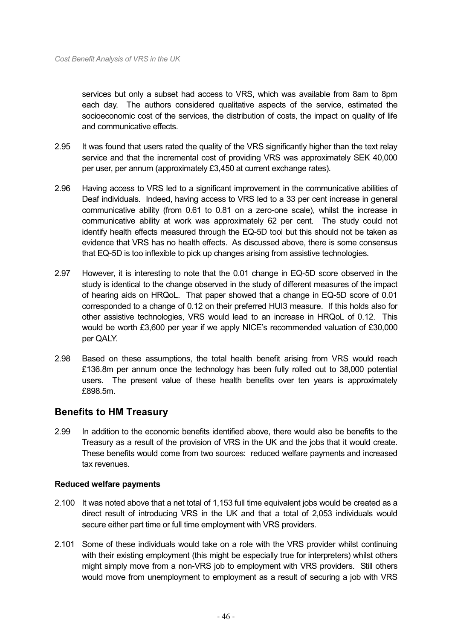services but only a subset had access to VRS, which was available from 8am to 8pm each day. The authors considered qualitative aspects of the service, estimated the socioeconomic cost of the services, the distribution of costs, the impact on quality of life and communicative effects.

- 2.95 It was found that users rated the quality of the VRS significantly higher than the text relay service and that the incremental cost of providing VRS was approximately SEK 40,000 per user, per annum (approximately £3,450 at current exchange rates).
- 2.96 Having access to VRS led to a significant improvement in the communicative abilities of Deaf individuals. Indeed, having access to VRS led to a 33 per cent increase in general communicative ability (from 0.61 to 0.81 on a zero-one scale), whilst the increase in communicative ability at work was approximately 62 per cent. The study could not identify health effects measured through the EQ-5D tool but this should not be taken as evidence that VRS has no health effects. As discussed above, there is some consensus that EQ-5D is too inflexible to pick up changes arising from assistive technologies.
- 2.97 However, it is interesting to note that the 0.01 change in EQ-5D score observed in the study is identical to the change observed in the study of different measures of the impact of hearing aids on HRQoL. That paper showed that a change in EQ-5D score of 0.01 corresponded to a change of 0.12 on their preferred HUI3 measure. If this holds also for other assistive technologies, VRS would lead to an increase in HRQoL of 0.12. This would be worth £3,600 per year if we apply NICE's recommended valuation of £30,000 per QALY.
- 2.98 Based on these assumptions, the total health benefit arising from VRS would reach £136.8m per annum once the technology has been fully rolled out to 38,000 potential users. The present value of these health benefits over ten years is approximately £898.5m.

# **Benefits to HM Treasury**

2.99 In addition to the economic benefits identified above, there would also be benefits to the Treasury as a result of the provision of VRS in the UK and the jobs that it would create. These benefits would come from two sources: reduced welfare payments and increased tax revenues.

# **Reduced welfare payments**

- 2.100 It was noted above that a net total of 1,153 full time equivalent jobs would be created as a direct result of introducing VRS in the UK and that a total of 2,053 individuals would secure either part time or full time employment with VRS providers.
- 2.101 Some of these individuals would take on a role with the VRS provider whilst continuing with their existing employment (this might be especially true for interpreters) whilst others might simply move from a non-VRS job to employment with VRS providers. Still others would move from unemployment to employment as a result of securing a job with VRS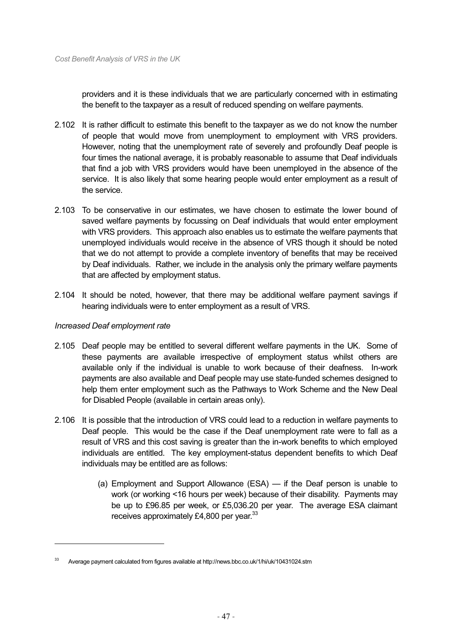providers and it is these individuals that we are particularly concerned with in estimating the benefit to the taxpayer as a result of reduced spending on welfare payments.

- 2.102 It is rather difficult to estimate this benefit to the taxpayer as we do not know the number of people that would move from unemployment to employment with VRS providers. However, noting that the unemployment rate of severely and profoundly Deaf people is four times the national average, it is probably reasonable to assume that Deaf individuals that find a job with VRS providers would have been unemployed in the absence of the service. It is also likely that some hearing people would enter employment as a result of the service.
- 2.103 To be conservative in our estimates, we have chosen to estimate the lower bound of saved welfare payments by focussing on Deaf individuals that would enter employment with VRS providers. This approach also enables us to estimate the welfare payments that unemployed individuals would receive in the absence of VRS though it should be noted that we do not attempt to provide a complete inventory of benefits that may be received by Deaf individuals. Rather, we include in the analysis only the primary welfare payments that are affected by employment status.
- 2.104 It should be noted, however, that there may be additional welfare payment savings if hearing individuals were to enter employment as a result of VRS.

# *Increased Deaf employment rate*

- 2.105 Deaf people may be entitled to several different welfare payments in the UK. Some of these payments are available irrespective of employment status whilst others are available only if the individual is unable to work because of their deafness. In-work payments are also available and Deaf people may use state-funded schemes designed to help them enter employment such as the Pathways to Work Scheme and the New Deal for Disabled People (available in certain areas only).
- 2.106 It is possible that the introduction of VRS could lead to a reduction in welfare payments to Deaf people. This would be the case if the Deaf unemployment rate were to fall as a result of VRS and this cost saving is greater than the in-work benefits to which employed individuals are entitled. The key employment-status dependent benefits to which Deaf individuals may be entitled are as follows:
	- (a) Employment and Support Allowance (ESA) if the Deaf person is unable to work (or working <16 hours per week) because of their disability. Payments may be up to £96.85 per week, or £5,036.20 per year. The average ESA claimant receives approximately £4,800 per year. $33$

<sup>33</sup> Average payment calculated from figures available at http://news.bbc.co.uk/1/hi/uk/10431024.stm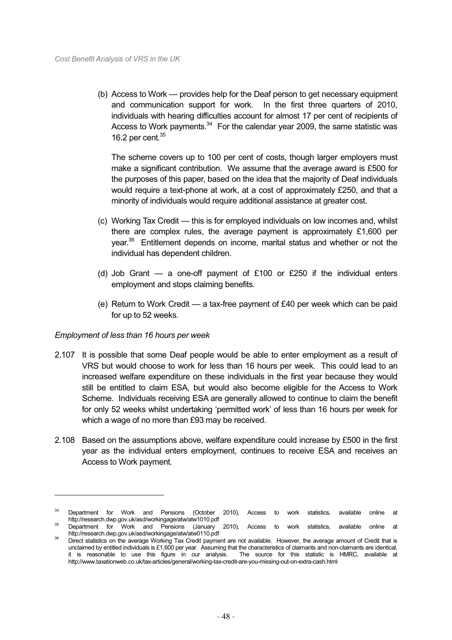(b) Access to Work — provides help for the Deaf person to get necessary equipment and communication support for work. In the first three quarters of 2010, individuals with hearing difficulties account for almost 17 per cent of recipients of Access to Work payments. $34$  For the calendar year 2009, the same statistic was 16.2 per cent. $35$ 

The scheme covers up to 100 per cent of costs, though larger employers must make a significant contribution. We assume that the average award is £500 for the purposes of this paper, based on the idea that the majority of Deaf individuals would require a text-phone at work, at a cost of approximately £250, and that a minority of individuals would require additional assistance at greater cost.

- (c) Working Tax Credit this is for employed individuals on low incomes and, whilst there are complex rules, the average payment is approximately £1,600 per vear.<sup>36</sup> Entitlement depends on income, marital status and whether or not the individual has dependent children.
- (d) Job Grant  $-$  a one-off payment of £100 or £250 if the individual enters employment and stops claiming benefits.
- (e) Return to Work Credit  $-$  a tax-free payment of £40 per week which can be paid for up to 52 weeks.

# *Employment of less than 16 hours per week*

- 2.107 It is possible that some Deaf people would be able to enter employment as a result of VRS but would choose to work for less than 16 hours per week. This could lead to an increased welfare expenditure on these individuals in the first year because they would still be entitled to claim ESA, but would also become eligible for the Access to Work Scheme. Individuals receiving ESA are generally allowed to continue to claim the benefit for only 52 weeks whilst undertaking 'permitted work' of less than 16 hours per week for which a wage of no more than £93 may be received.
- 2.108 Based on the assumptions above, welfare expenditure could increase by £500 in the first year as the individual enters employment, continues to receive ESA and receives an Access to Work payment.

<sup>&</sup>lt;sup>34</sup> Department for Work and Pensions (October 2010). Access to work statistics, available online at

http://research.dwp.gov.uk/asd/workingage/atw/atw1010.pdf<br>35 Department for Work and Pensions (January 2010), Access to work statistics, available online at<br>http://research.dwp.gov.uk/asd/workingage/atw/atw0110.pdf

<sup>1.</sup> http://research.dwp.gov.uk/asd/workingage/atwatworks.pdf<br>36 Direct statistics on the average Working Tax Credit payment are not available. However, the average amount of Credit that is unclaimed by entitled individuals is £1,600 per year. Assuming that the characteristics of claimants and non-claimants are identical, it is reasonable to use this figure in our analysis. The source for this statistic is HM it is reasonable to use this figure in our analysis. http://www.taxationweb.co.uk/tax-articles/general/working-tax-credit-are-you-missing-out-on-extra-cash.html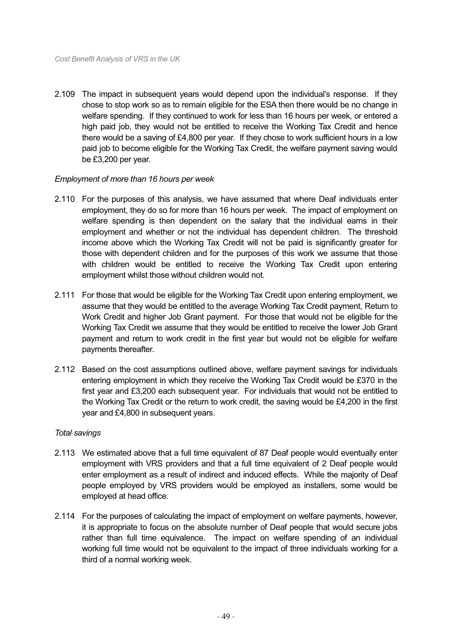2.109 The impact in subsequent years would depend upon the individual's response. If they chose to stop work so as to remain eligible for the ESA then there would be no change in welfare spending. If they continued to work for less than 16 hours per week, or entered a high paid job, they would not be entitled to receive the Working Tax Credit and hence there would be a saving of £4,800 per year. If they chose to work sufficient hours in a low paid job to become eligible for the Working Tax Credit, the welfare payment saving would be £3,200 per year.

# *Employment of more than 16 hours per week*

- 2.110 For the purposes of this analysis, we have assumed that where Deaf individuals enter employment, they do so for more than 16 hours per week. The impact of employment on welfare spending is then dependent on the salary that the individual earns in their employment and whether or not the individual has dependent children. The threshold income above which the Working Tax Credit will not be paid is significantly greater for those with dependent children and for the purposes of this work we assume that those with children would be entitled to receive the Working Tax Credit upon entering employment whilst those without children would not.
- 2.111 For those that would be eligible for the Working Tax Credit upon entering employment, we assume that they would be entitled to the average Working Tax Credit payment, Return to Work Credit and higher Job Grant payment. For those that would not be eligible for the Working Tax Credit we assume that they would be entitled to receive the lower Job Grant payment and return to work credit in the first year but would not be eligible for welfare payments thereafter.
- 2.112 Based on the cost assumptions outlined above, welfare payment savings for individuals entering employment in which they receive the Working Tax Credit would be £370 in the first year and £3,200 each subsequent year. For individuals that would not be entitled to the Working Tax Credit or the return to work credit, the saving would be £4,200 in the first year and £4,800 in subsequent years.

# *Total savings*

- 2.113 We estimated above that a full time equivalent of 87 Deaf people would eventually enter employment with VRS providers and that a full time equivalent of 2 Deaf people would enter employment as a result of indirect and induced effects. While the majority of Deaf people employed by VRS providers would be employed as installers, some would be employed at head office.
- 2.114 For the purposes of calculating the impact of employment on welfare payments, however, it is appropriate to focus on the absolute number of Deaf people that would secure jobs rather than full time equivalence. The impact on welfare spending of an individual working full time would not be equivalent to the impact of three individuals working for a third of a normal working week.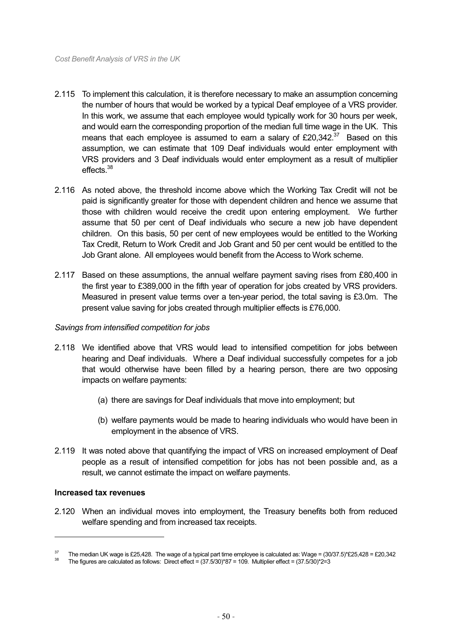- 2.115 To implement this calculation, it is therefore necessary to make an assumption concerning the number of hours that would be worked by a typical Deaf employee of a VRS provider. In this work, we assume that each employee would typically work for 30 hours per week, and would earn the corresponding proportion of the median full time wage in the UK. This means that each employee is assumed to earn a salary of  $£20.342<sup>37</sup>$  Based on this assumption, we can estimate that 109 Deaf individuals would enter employment with VRS providers and 3 Deaf individuals would enter employment as a result of multiplier effects.38
- 2.116 As noted above, the threshold income above which the Working Tax Credit will not be paid is significantly greater for those with dependent children and hence we assume that those with children would receive the credit upon entering employment. We further assume that 50 per cent of Deaf individuals who secure a new job have dependent children. On this basis, 50 per cent of new employees would be entitled to the Working Tax Credit, Return to Work Credit and Job Grant and 50 per cent would be entitled to the Job Grant alone. All employees would benefit from the Access to Work scheme.
- 2.117 Based on these assumptions, the annual welfare payment saving rises from £80,400 in the first year to £389,000 in the fifth year of operation for jobs created by VRS providers. Measured in present value terms over a ten-year period, the total saving is £3.0m. The present value saving for jobs created through multiplier effects is £76,000.

#### *Savings from intensified competition for jobs*

- 2.118 We identified above that VRS would lead to intensified competition for jobs between hearing and Deaf individuals. Where a Deaf individual successfully competes for a job that would otherwise have been filled by a hearing person, there are two opposing impacts on welfare payments:
	- (a) there are savings for Deaf individuals that move into employment; but
	- (b) welfare payments would be made to hearing individuals who would have been in employment in the absence of VRS.
- 2.119 It was noted above that quantifying the impact of VRS on increased employment of Deaf people as a result of intensified competition for jobs has not been possible and, as a result, we cannot estimate the impact on welfare payments.

#### **Increased tax revenues**

 $\overline{a}$ 

2.120 When an individual moves into employment, the Treasury benefits both from reduced welfare spending and from increased tax receipts.

The median UK wage is £25,428. The wage of a typical part time employee is calculated as: Wage = (30/37.5)\*£25,428 = £20,342<br>The figures are calculated as follows: Direct effect = (37.5/30)\*87 = 109. Multiplier effect = (3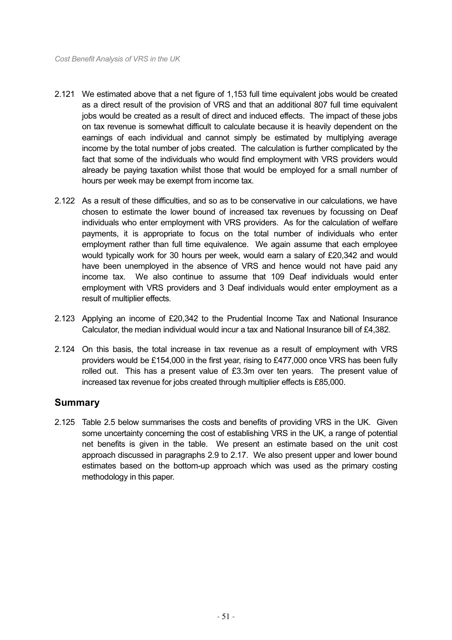- 2.121 We estimated above that a net figure of 1,153 full time equivalent jobs would be created as a direct result of the provision of VRS and that an additional 807 full time equivalent jobs would be created as a result of direct and induced effects. The impact of these jobs on tax revenue is somewhat difficult to calculate because it is heavily dependent on the earnings of each individual and cannot simply be estimated by multiplying average income by the total number of jobs created. The calculation is further complicated by the fact that some of the individuals who would find employment with VRS providers would already be paying taxation whilst those that would be employed for a small number of hours per week may be exempt from income tax.
- 2.122 As a result of these difficulties, and so as to be conservative in our calculations, we have chosen to estimate the lower bound of increased tax revenues by focussing on Deaf individuals who enter employment with VRS providers. As for the calculation of welfare payments, it is appropriate to focus on the total number of individuals who enter employment rather than full time equivalence. We again assume that each employee would typically work for 30 hours per week, would earn a salary of £20,342 and would have been unemployed in the absence of VRS and hence would not have paid any income tax. We also continue to assume that 109 Deaf individuals would enter employment with VRS providers and 3 Deaf individuals would enter employment as a result of multiplier effects.
- 2.123 Applying an income of £20,342 to the Prudential Income Tax and National Insurance Calculator, the median individual would incur a tax and National Insurance bill of £4,382.
- 2.124 On this basis, the total increase in tax revenue as a result of employment with VRS providers would be £154,000 in the first year, rising to £477,000 once VRS has been fully rolled out. This has a present value of £3.3m over ten years. The present value of increased tax revenue for jobs created through multiplier effects is £85,000.

# **Summary**

2.125 Table 2.5 below summarises the costs and benefits of providing VRS in the UK. Given some uncertainty concerning the cost of establishing VRS in the UK, a range of potential net benefits is given in the table. We present an estimate based on the unit cost approach discussed in paragraphs 2.9 to 2.17. We also present upper and lower bound estimates based on the bottom-up approach which was used as the primary costing methodology in this paper.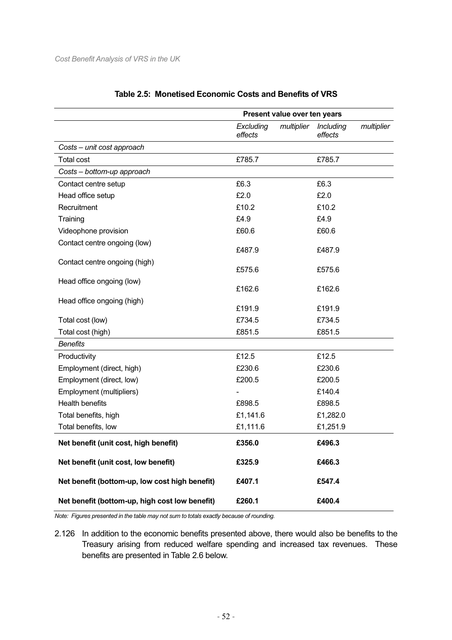|                                                | Present value over ten years |            |                             |            |
|------------------------------------------------|------------------------------|------------|-----------------------------|------------|
|                                                | Excluding<br>effects         | multiplier | <b>Including</b><br>effects | multiplier |
| Costs - unit cost approach                     |                              |            |                             |            |
| Total cost                                     | £785.7                       |            | £785.7                      |            |
| Costs - bottom-up approach                     |                              |            |                             |            |
| Contact centre setup                           | £6.3                         |            | £6.3                        |            |
| Head office setup                              | £2.0                         |            | £2.0                        |            |
| Recruitment                                    | £10.2                        |            | £10.2                       |            |
| Training                                       | £4.9                         |            | £4.9                        |            |
| Videophone provision                           | £60.6                        |            | £60.6                       |            |
| Contact centre ongoing (low)                   | £487.9                       |            | £487.9                      |            |
| Contact centre ongoing (high)                  | £575.6                       |            | £575.6                      |            |
| Head office ongoing (low)                      | £162.6                       |            | £162.6                      |            |
| Head office ongoing (high)                     | £191.9                       |            | £191.9                      |            |
| Total cost (low)                               | £734.5                       |            | £734.5                      |            |
| Total cost (high)                              | £851.5                       |            | £851.5                      |            |
| <b>Benefits</b>                                |                              |            |                             |            |
| Productivity                                   | £12.5                        |            | £12.5                       |            |
| Employment (direct, high)                      | £230.6                       |            | £230.6                      |            |
| Employment (direct, low)                       | £200.5                       |            | £200.5                      |            |
| Employment (multipliers)                       |                              |            | £140.4                      |            |
| <b>Health benefits</b>                         | £898.5                       |            | £898.5                      |            |
| Total benefits, high                           | £1,141.6                     |            | £1,282.0                    |            |
| Total benefits, low                            | £1,111.6                     |            | £1,251.9                    |            |
| Net benefit (unit cost, high benefit)          | £356.0                       |            | £496.3                      |            |
| Net benefit (unit cost, low benefit)           | £325.9                       |            | £466.3                      |            |
| Net benefit (bottom-up, low cost high benefit) | £407.1                       |            | £547.4                      |            |
| Net benefit (bottom-up, high cost low benefit) | £260.1                       |            | £400.4                      |            |

# **Table 2.5: Monetised Economic Costs and Benefits of VRS**

*Note: Figures presented in the table may not sum to totals exactly because of rounding.* 

2.126 In addition to the economic benefits presented above, there would also be benefits to the Treasury arising from reduced welfare spending and increased tax revenues. These benefits are presented in Table 2.6 below.